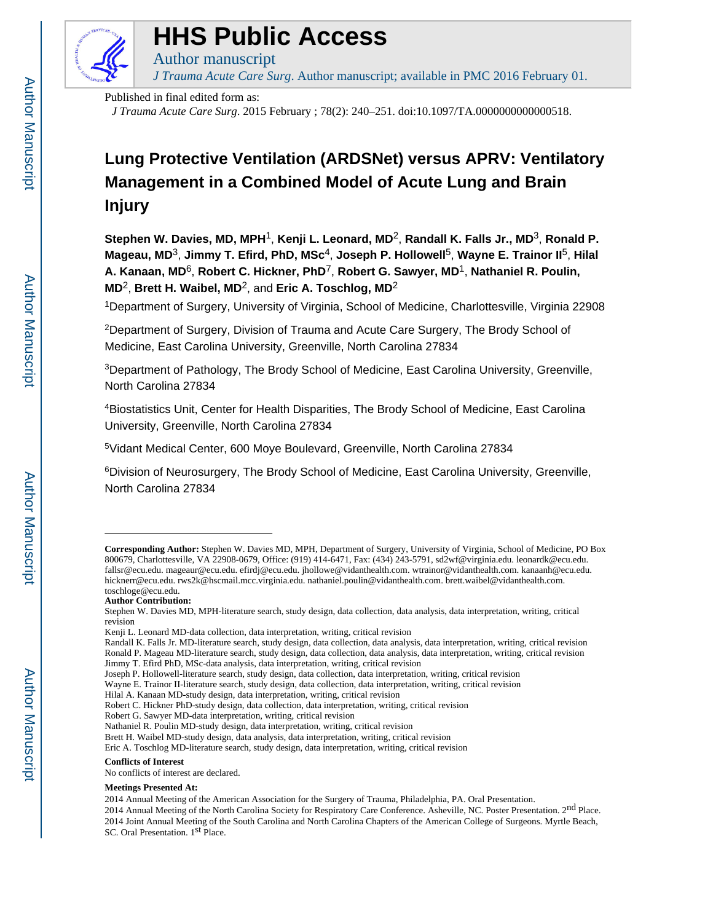

# **HHS Public Access**

*J Trauma Acute Care Surg*. Author manuscript; available in PMC 2016 February 01.

Published in final edited form as:

Author manuscript

*J Trauma Acute Care Surg*. 2015 February ; 78(2): 240–251. doi:10.1097/TA.0000000000000518.

# **Lung Protective Ventilation (ARDSNet) versus APRV: Ventilatory Management in a Combined Model of Acute Lung and Brain Injury**

**Stephen W. Davies, MD, MPH**1, **Kenji L. Leonard, MD**2, **Randall K. Falls Jr., MD**3, **Ronald P. Mageau, MD**3, **Jimmy T. Efird, PhD, MSc**4, **Joseph P. Hollowell**5, **Wayne E. Trainor II**5, **Hilal A. Kanaan, MD**6, **Robert C. Hickner, PhD**7, **Robert G. Sawyer, MD**1, **Nathaniel R. Poulin, MD**2, **Brett H. Waibel, MD**2, and **Eric A. Toschlog, MD**<sup>2</sup>

<sup>1</sup>Department of Surgery, University of Virginia, School of Medicine, Charlottesville, Virginia 22908

<sup>2</sup>Department of Surgery, Division of Trauma and Acute Care Surgery, The Brody School of Medicine, East Carolina University, Greenville, North Carolina 27834

<sup>3</sup>Department of Pathology, The Brody School of Medicine, East Carolina University, Greenville, North Carolina 27834

<sup>4</sup>Biostatistics Unit, Center for Health Disparities, The Brody School of Medicine, East Carolina University, Greenville, North Carolina 27834

<sup>5</sup>Vidant Medical Center, 600 Moye Boulevard, Greenville, North Carolina 27834

<sup>6</sup>Division of Neurosurgery, The Brody School of Medicine, East Carolina University, Greenville, North Carolina 27834

Robert G. Sawyer MD-data interpretation, writing, critical revision

Nathaniel R. Poulin MD-study design, data interpretation, writing, critical revision

Eric A. Toschlog MD-literature search, study design, data interpretation, writing, critical revision

#### **Conflicts of Interest**

#### **Meetings Presented At:**

**Corresponding Author:** Stephen W. Davies MD, MPH, Department of Surgery, University of Virginia, School of Medicine, PO Box 800679, Charlottesville, VA 22908-0679, Office: (919) 414-6471, Fax: (434) 243-5791, sd2wf@virginia.edu. leonardk@ecu.edu. fallsr@ecu.edu. mageaur@ecu.edu. efirdj@ecu.edu. jhollowe@vidanthealth.com. wtrainor@vidanthealth.com. kanaanh@ecu.edu. hicknerr@ecu.edu. rws2k@hscmail.mcc.virginia.edu. nathaniel.poulin@vidanthealth.com. brett.waibel@vidanthealth.com. toschloge@ecu.edu.

**Author Contribution:**

Stephen W. Davies MD, MPH-literature search, study design, data collection, data analysis, data interpretation, writing, critical revision

Kenji L. Leonard MD-data collection, data interpretation, writing, critical revision

Randall K. Falls Jr. MD-literature search, study design, data collection, data analysis, data interpretation, writing, critical revision Ronald P. Mageau MD-literature search, study design, data collection, data analysis, data interpretation, writing, critical revision Jimmy T. Efird PhD, MSc-data analysis, data interpretation, writing, critical revision

Joseph P. Hollowell-literature search, study design, data collection, data interpretation, writing, critical revision

Wayne E. Trainor II-literature search, study design, data collection, data interpretation, writing, critical revision

Hilal A. Kanaan MD-study design, data interpretation, writing, critical revision

Robert C. Hickner PhD-study design, data collection, data interpretation, writing, critical revision

Brett H. Waibel MD-study design, data analysis, data interpretation, writing, critical revision

No conflicts of interest are declared.

<sup>2014</sup> Annual Meeting of the American Association for the Surgery of Trauma, Philadelphia, PA. Oral Presentation.

<sup>2014</sup> Annual Meeting of the North Carolina Society for Respiratory Care Conference. Asheville, NC. Poster Presentation. 2nd Place. 2014 Joint Annual Meeting of the South Carolina and North Carolina Chapters of the American College of Surgeons. Myrtle Beach, SC. Oral Presentation. 1<sup>st</sup> Place.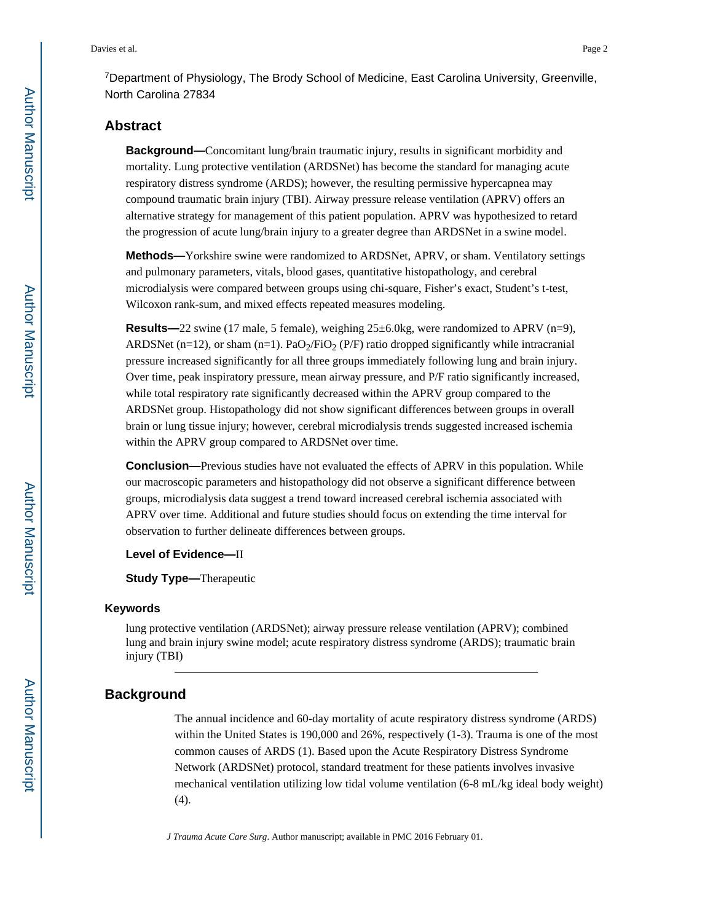# **Abstract**

**Background—**Concomitant lung/brain traumatic injury, results in significant morbidity and mortality. Lung protective ventilation (ARDSNet) has become the standard for managing acute respiratory distress syndrome (ARDS); however, the resulting permissive hypercapnea may compound traumatic brain injury (TBI). Airway pressure release ventilation (APRV) offers an alternative strategy for management of this patient population. APRV was hypothesized to retard the progression of acute lung/brain injury to a greater degree than ARDSNet in a swine model.

**Methods—**Yorkshire swine were randomized to ARDSNet, APRV, or sham. Ventilatory settings and pulmonary parameters, vitals, blood gases, quantitative histopathology, and cerebral microdialysis were compared between groups using chi-square, Fisher's exact, Student's t-test, Wilcoxon rank-sum, and mixed effects repeated measures modeling.

**Results—**22 swine (17 male, 5 female), weighing 25±6.0kg, were randomized to APRV (n=9), ARDSNet (n=12), or sham (n=1). PaO<sub>2</sub>/FiO<sub>2</sub> (P/F) ratio dropped significantly while intracranial pressure increased significantly for all three groups immediately following lung and brain injury. Over time, peak inspiratory pressure, mean airway pressure, and P/F ratio significantly increased, while total respiratory rate significantly decreased within the APRV group compared to the ARDSNet group. Histopathology did not show significant differences between groups in overall brain or lung tissue injury; however, cerebral microdialysis trends suggested increased ischemia within the APRV group compared to ARDSNet over time.

**Conclusion—**Previous studies have not evaluated the effects of APRV in this population. While our macroscopic parameters and histopathology did not observe a significant difference between groups, microdialysis data suggest a trend toward increased cerebral ischemia associated with APRV over time. Additional and future studies should focus on extending the time interval for observation to further delineate differences between groups.

#### **Level of Evidence—**II

**Study Type—**Therapeutic

# **Keywords**

lung protective ventilation (ARDSNet); airway pressure release ventilation (APRV); combined lung and brain injury swine model; acute respiratory distress syndrome (ARDS); traumatic brain injury (TBI)

# **Background**

The annual incidence and 60-day mortality of acute respiratory distress syndrome (ARDS) within the United States is 190,000 and 26%, respectively (1-3). Trauma is one of the most common causes of ARDS (1). Based upon the Acute Respiratory Distress Syndrome Network (ARDSNet) protocol, standard treatment for these patients involves invasive mechanical ventilation utilizing low tidal volume ventilation (6-8 mL/kg ideal body weight) (4).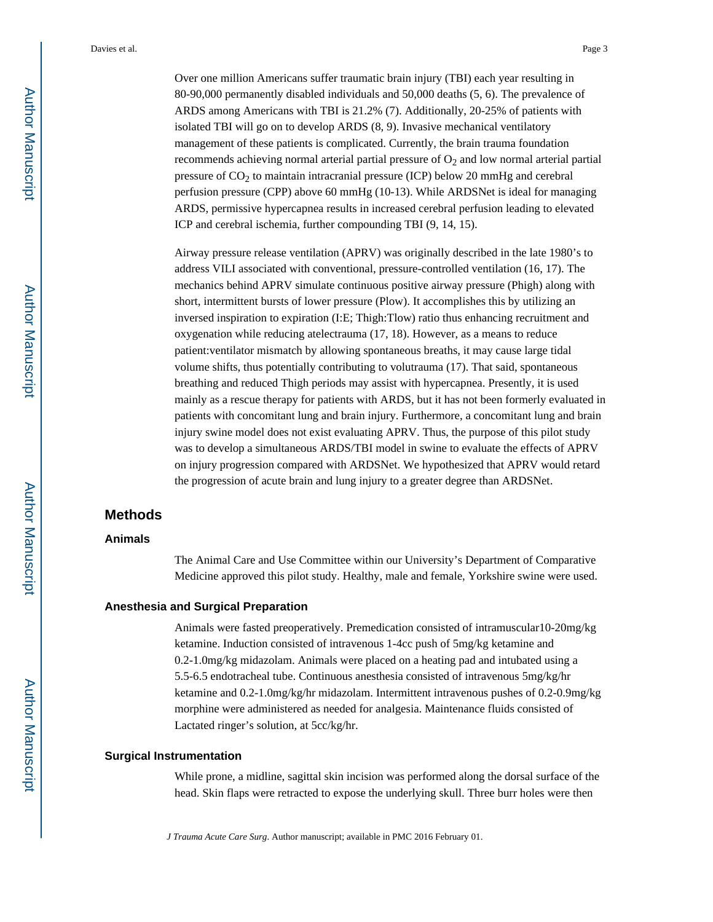Over one million Americans suffer traumatic brain injury (TBI) each year resulting in 80-90,000 permanently disabled individuals and 50,000 deaths (5, 6). The prevalence of ARDS among Americans with TBI is 21.2% (7). Additionally, 20-25% of patients with isolated TBI will go on to develop ARDS (8, 9). Invasive mechanical ventilatory management of these patients is complicated. Currently, the brain trauma foundation recommends achieving normal arterial partial pressure of  $O<sub>2</sub>$  and low normal arterial partial pressure of  $CO<sub>2</sub>$  to maintain intracranial pressure (ICP) below 20 mmHg and cerebral perfusion pressure (CPP) above 60 mmHg (10-13). While ARDSNet is ideal for managing ARDS, permissive hypercapnea results in increased cerebral perfusion leading to elevated ICP and cerebral ischemia, further compounding TBI (9, 14, 15).

Airway pressure release ventilation (APRV) was originally described in the late 1980's to address VILI associated with conventional, pressure-controlled ventilation (16, 17). The mechanics behind APRV simulate continuous positive airway pressure (Phigh) along with short, intermittent bursts of lower pressure (Plow). It accomplishes this by utilizing an inversed inspiration to expiration (I:E; Thigh:Tlow) ratio thus enhancing recruitment and oxygenation while reducing atelectrauma (17, 18). However, as a means to reduce patient:ventilator mismatch by allowing spontaneous breaths, it may cause large tidal volume shifts, thus potentially contributing to volutrauma (17). That said, spontaneous breathing and reduced Thigh periods may assist with hypercapnea. Presently, it is used mainly as a rescue therapy for patients with ARDS, but it has not been formerly evaluated in patients with concomitant lung and brain injury. Furthermore, a concomitant lung and brain injury swine model does not exist evaluating APRV. Thus, the purpose of this pilot study was to develop a simultaneous ARDS/TBI model in swine to evaluate the effects of APRV on injury progression compared with ARDSNet. We hypothesized that APRV would retard the progression of acute brain and lung injury to a greater degree than ARDSNet.

# **Methods**

## **Animals**

The Animal Care and Use Committee within our University's Department of Comparative Medicine approved this pilot study. Healthy, male and female, Yorkshire swine were used.

# **Anesthesia and Surgical Preparation**

Animals were fasted preoperatively. Premedication consisted of intramuscular10-20mg/kg ketamine. Induction consisted of intravenous 1-4cc push of 5mg/kg ketamine and 0.2-1.0mg/kg midazolam. Animals were placed on a heating pad and intubated using a 5.5-6.5 endotracheal tube. Continuous anesthesia consisted of intravenous 5mg/kg/hr ketamine and 0.2-1.0mg/kg/hr midazolam. Intermittent intravenous pushes of 0.2-0.9mg/kg morphine were administered as needed for analgesia. Maintenance fluids consisted of Lactated ringer's solution, at 5cc/kg/hr.

## **Surgical Instrumentation**

While prone, a midline, sagittal skin incision was performed along the dorsal surface of the head. Skin flaps were retracted to expose the underlying skull. Three burr holes were then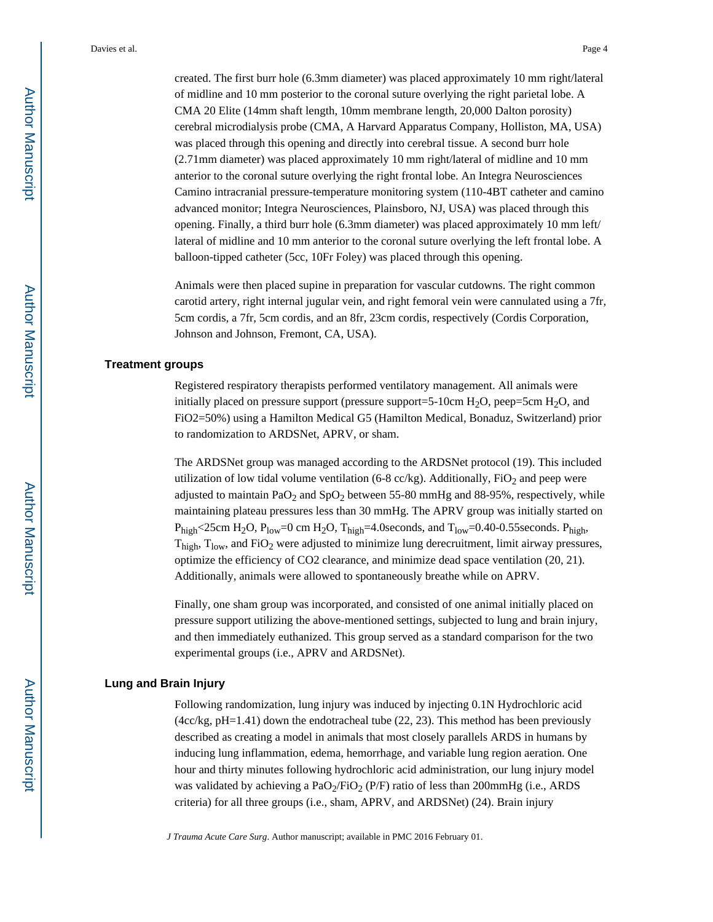created. The first burr hole (6.3mm diameter) was placed approximately 10 mm right/lateral of midline and 10 mm posterior to the coronal suture overlying the right parietal lobe. A CMA 20 Elite (14mm shaft length, 10mm membrane length, 20,000 Dalton porosity) cerebral microdialysis probe (CMA, A Harvard Apparatus Company, Holliston, MA, USA) was placed through this opening and directly into cerebral tissue. A second burr hole (2.71mm diameter) was placed approximately 10 mm right/lateral of midline and 10 mm anterior to the coronal suture overlying the right frontal lobe. An Integra Neurosciences Camino intracranial pressure-temperature monitoring system (110-4BT catheter and camino advanced monitor; Integra Neurosciences, Plainsboro, NJ, USA) was placed through this opening. Finally, a third burr hole (6.3mm diameter) was placed approximately 10 mm left/ lateral of midline and 10 mm anterior to the coronal suture overlying the left frontal lobe. A balloon-tipped catheter (5cc, 10Fr Foley) was placed through this opening.

Animals were then placed supine in preparation for vascular cutdowns. The right common carotid artery, right internal jugular vein, and right femoral vein were cannulated using a 7fr, 5cm cordis, a 7fr, 5cm cordis, and an 8fr, 23cm cordis, respectively (Cordis Corporation, Johnson and Johnson, Fremont, CA, USA).

# **Treatment groups**

Registered respiratory therapists performed ventilatory management. All animals were initially placed on pressure support (pressure support=5-10cm  $H_2O$ , peep=5cm  $H_2O$ , and FiO2=50%) using a Hamilton Medical G5 (Hamilton Medical, Bonaduz, Switzerland) prior to randomization to ARDSNet, APRV, or sham.

The ARDSNet group was managed according to the ARDSNet protocol (19). This included utilization of low tidal volume ventilation (6-8 cc/kg). Additionally,  $FiO<sub>2</sub>$  and peep were adjusted to maintain  $PaO<sub>2</sub>$  and  $SpO<sub>2</sub>$  between 55-80 mmHg and 88-95%, respectively, while maintaining plateau pressures less than 30 mmHg. The APRV group was initially started on  $P_{high}$ <25cm H<sub>2</sub>O,  $P_{low}$ =0 cm H<sub>2</sub>O, T<sub>high</sub>=4.0seconds, and T<sub>low</sub>=0.40-0.55seconds. P<sub>high</sub>,  $T<sub>high</sub>$ ,  $T<sub>low</sub>$ , and FiO<sub>2</sub> were adjusted to minimize lung derecruitment, limit airway pressures, optimize the efficiency of CO2 clearance, and minimize dead space ventilation (20, 21). Additionally, animals were allowed to spontaneously breathe while on APRV.

Finally, one sham group was incorporated, and consisted of one animal initially placed on pressure support utilizing the above-mentioned settings, subjected to lung and brain injury, and then immediately euthanized. This group served as a standard comparison for the two experimental groups (i.e., APRV and ARDSNet).

## **Lung and Brain Injury**

Following randomization, lung injury was induced by injecting 0.1N Hydrochloric acid  $(4cckg, pH=1.41)$  down the endotracheal tube (22, 23). This method has been previously described as creating a model in animals that most closely parallels ARDS in humans by inducing lung inflammation, edema, hemorrhage, and variable lung region aeration. One hour and thirty minutes following hydrochloric acid administration, our lung injury model was validated by achieving a PaO<sub>2</sub>/FiO<sub>2</sub> (P/F) ratio of less than 200mmHg (i.e., ARDS criteria) for all three groups (i.e., sham, APRV, and ARDSNet) (24). Brain injury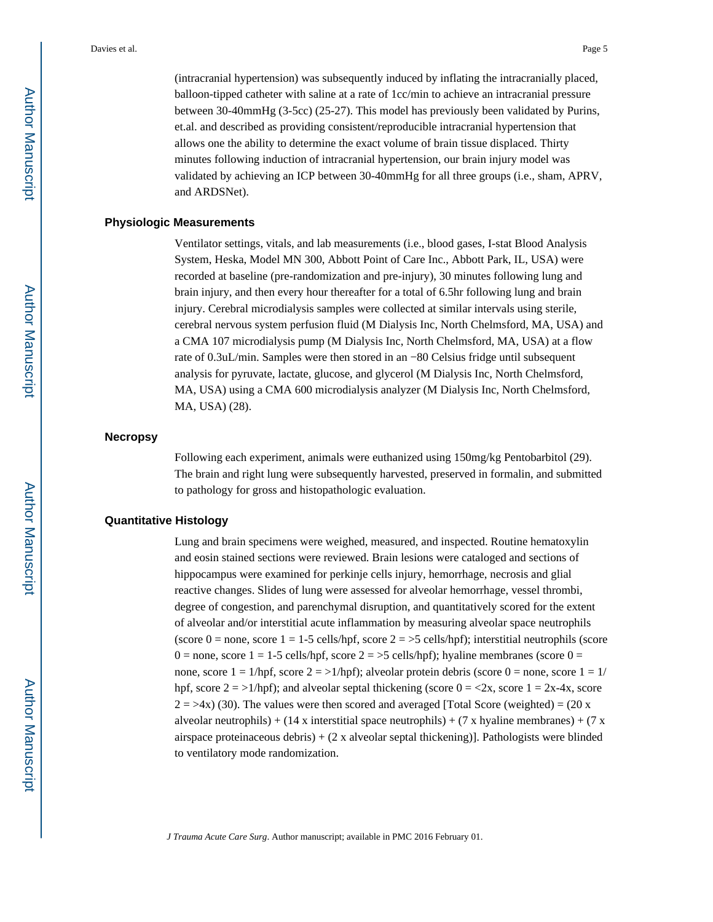(intracranial hypertension) was subsequently induced by inflating the intracranially placed, balloon-tipped catheter with saline at a rate of 1cc/min to achieve an intracranial pressure between 30-40mmHg (3-5cc) (25-27). This model has previously been validated by Purins, et.al. and described as providing consistent/reproducible intracranial hypertension that allows one the ability to determine the exact volume of brain tissue displaced. Thirty minutes following induction of intracranial hypertension, our brain injury model was validated by achieving an ICP between 30-40mmHg for all three groups (i.e., sham, APRV, and ARDSNet).

# **Physiologic Measurements**

Ventilator settings, vitals, and lab measurements (i.e., blood gases, I-stat Blood Analysis System, Heska, Model MN 300, Abbott Point of Care Inc., Abbott Park, IL, USA) were recorded at baseline (pre-randomization and pre-injury), 30 minutes following lung and brain injury, and then every hour thereafter for a total of 6.5hr following lung and brain injury. Cerebral microdialysis samples were collected at similar intervals using sterile, cerebral nervous system perfusion fluid (M Dialysis Inc, North Chelmsford, MA, USA) and a CMA 107 microdialysis pump (M Dialysis Inc, North Chelmsford, MA, USA) at a flow rate of 0.3uL/min. Samples were then stored in an −80 Celsius fridge until subsequent analysis for pyruvate, lactate, glucose, and glycerol (M Dialysis Inc, North Chelmsford, MA, USA) using a CMA 600 microdialysis analyzer (M Dialysis Inc, North Chelmsford, MA, USA) (28).

#### **Necropsy**

Following each experiment, animals were euthanized using 150mg/kg Pentobarbitol (29). The brain and right lung were subsequently harvested, preserved in formalin, and submitted to pathology for gross and histopathologic evaluation.

#### **Quantitative Histology**

Lung and brain specimens were weighed, measured, and inspected. Routine hematoxylin and eosin stained sections were reviewed. Brain lesions were cataloged and sections of hippocampus were examined for perkinje cells injury, hemorrhage, necrosis and glial reactive changes. Slides of lung were assessed for alveolar hemorrhage, vessel thrombi, degree of congestion, and parenchymal disruption, and quantitatively scored for the extent of alveolar and/or interstitial acute inflammation by measuring alveolar space neutrophils (score 0 = none, score 1 = 1-5 cells/hpf, score  $2 = 5$  cells/hpf); interstitial neutrophils (score 0 = none, score 1 = 1-5 cells/hpf, score  $2 = >5$  cells/hpf); hyaline membranes (score 0 = none, score  $1 = 1/hpf$ , score  $2 = \frac{1}{hpf}$ ; alveolar protein debris (score  $0 =$  none, score  $1 = 1/$ hpf, score  $2 = \frac{1}{hpt}$ ; and alveolar septal thickening (score  $0 = \frac{2x}{s}$ , score  $1 = 2x-4x$ , score  $2 = 34x$ ) (30). The values were then scored and averaged [Total Score (weighted) = (20 x alveolar neutrophils) + (14 x interstitial space neutrophils) + (7 x hyaline membranes) + (7 x airspace proteinaceous debris) + (2 x alveolar septal thickening)]. Pathologists were blinded to ventilatory mode randomization.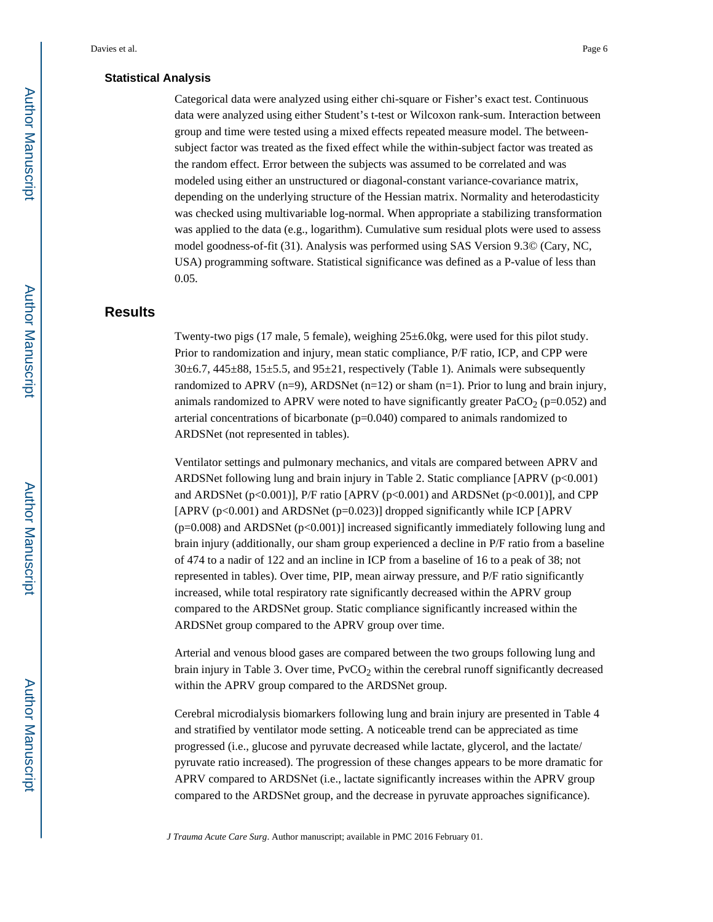#### **Statistical Analysis**

Categorical data were analyzed using either chi-square or Fisher's exact test. Continuous data were analyzed using either Student's t-test or Wilcoxon rank-sum. Interaction between group and time were tested using a mixed effects repeated measure model. The betweensubject factor was treated as the fixed effect while the within-subject factor was treated as the random effect. Error between the subjects was assumed to be correlated and was modeled using either an unstructured or diagonal-constant variance-covariance matrix, depending on the underlying structure of the Hessian matrix. Normality and heterodasticity was checked using multivariable log-normal. When appropriate a stabilizing transformation was applied to the data (e.g., logarithm). Cumulative sum residual plots were used to assess model goodness-of-fit (31). Analysis was performed using SAS Version 9.3© (Cary, NC, USA) programming software. Statistical significance was defined as a P-value of less than 0.05.

# **Results**

Twenty-two pigs (17 male, 5 female), weighing 25±6.0kg, were used for this pilot study. Prior to randomization and injury, mean static compliance, P/F ratio, ICP, and CPP were  $30\pm6.7$ ,  $445\pm88$ ,  $15\pm5.5$ , and  $95\pm21$ , respectively (Table 1). Animals were subsequently randomized to APRV (n=9), ARDSNet (n=12) or sham (n=1). Prior to lung and brain injury, animals randomized to APRV were noted to have significantly greater  $PaCO<sub>2</sub>$  (p=0.052) and arterial concentrations of bicarbonate  $(p=0.040)$  compared to animals randomized to ARDSNet (not represented in tables).

Ventilator settings and pulmonary mechanics, and vitals are compared between APRV and ARDSNet following lung and brain injury in Table 2. Static compliance [APRV (p<0.001) and ARDSNet (p<0.001)], P/F ratio [APRV (p<0.001) and ARDSNet (p<0.001)], and CPP [APRV (p<0.001) and ARDSNet (p=0.023)] dropped significantly while ICP [APRV (p=0.008) and ARDSNet (p<0.001)] increased significantly immediately following lung and brain injury (additionally, our sham group experienced a decline in P/F ratio from a baseline of 474 to a nadir of 122 and an incline in ICP from a baseline of 16 to a peak of 38; not represented in tables). Over time, PIP, mean airway pressure, and P/F ratio significantly increased, while total respiratory rate significantly decreased within the APRV group compared to the ARDSNet group. Static compliance significantly increased within the ARDSNet group compared to the APRV group over time.

Arterial and venous blood gases are compared between the two groups following lung and brain injury in Table 3. Over time,  $PvCO<sub>2</sub>$  within the cerebral runoff significantly decreased within the APRV group compared to the ARDSNet group.

Cerebral microdialysis biomarkers following lung and brain injury are presented in Table 4 and stratified by ventilator mode setting. A noticeable trend can be appreciated as time progressed (i.e., glucose and pyruvate decreased while lactate, glycerol, and the lactate/ pyruvate ratio increased). The progression of these changes appears to be more dramatic for APRV compared to ARDSNet (i.e., lactate significantly increases within the APRV group compared to the ARDSNet group, and the decrease in pyruvate approaches significance).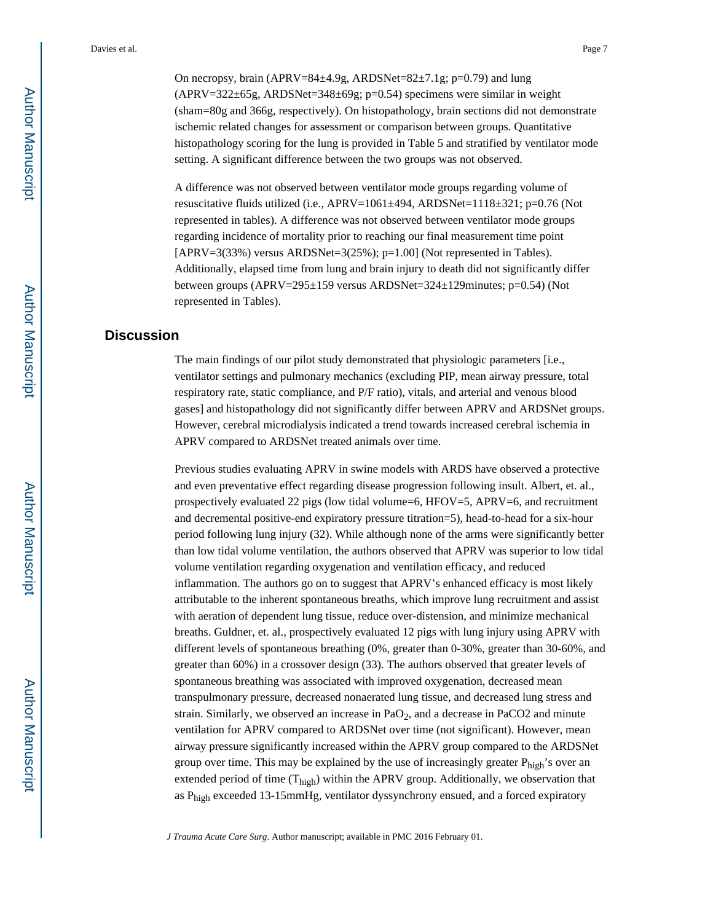On necropsy, brain (APRV=84 $\pm$ 4.9g, ARDSNet=82 $\pm$ 7.1g; p=0.79) and lung  $(APRV=322\pm 65g, ARDSNet=348\pm 69g; p=0.54)$  specimens were similar in weight (sham=80g and 366g, respectively). On histopathology, brain sections did not demonstrate ischemic related changes for assessment or comparison between groups. Quantitative histopathology scoring for the lung is provided in Table 5 and stratified by ventilator mode setting. A significant difference between the two groups was not observed.

A difference was not observed between ventilator mode groups regarding volume of resuscitative fluids utilized (i.e., APRV=1061±494, ARDSNet=1118±321; p=0.76 (Not represented in tables). A difference was not observed between ventilator mode groups regarding incidence of mortality prior to reaching our final measurement time point  $[APRV=3(33%)$  versus ARDSNet=3(25%); p=1.00] (Not represented in Tables). Additionally, elapsed time from lung and brain injury to death did not significantly differ between groups (APRV=295±159 versus ARDSNet=324±129minutes; p=0.54) (Not represented in Tables).

# **Discussion**

The main findings of our pilot study demonstrated that physiologic parameters [i.e., ventilator settings and pulmonary mechanics (excluding PIP, mean airway pressure, total respiratory rate, static compliance, and P/F ratio), vitals, and arterial and venous blood gases] and histopathology did not significantly differ between APRV and ARDSNet groups. However, cerebral microdialysis indicated a trend towards increased cerebral ischemia in APRV compared to ARDSNet treated animals over time.

Previous studies evaluating APRV in swine models with ARDS have observed a protective and even preventative effect regarding disease progression following insult. Albert, et. al., prospectively evaluated 22 pigs (low tidal volume=6, HFOV=5, APRV=6, and recruitment and decremental positive-end expiratory pressure titration=5), head-to-head for a six-hour period following lung injury (32). While although none of the arms were significantly better than low tidal volume ventilation, the authors observed that APRV was superior to low tidal volume ventilation regarding oxygenation and ventilation efficacy, and reduced inflammation. The authors go on to suggest that APRV's enhanced efficacy is most likely attributable to the inherent spontaneous breaths, which improve lung recruitment and assist with aeration of dependent lung tissue, reduce over-distension, and minimize mechanical breaths. Guldner, et. al., prospectively evaluated 12 pigs with lung injury using APRV with different levels of spontaneous breathing (0%, greater than 0-30%, greater than 30-60%, and greater than 60%) in a crossover design (33). The authors observed that greater levels of spontaneous breathing was associated with improved oxygenation, decreased mean transpulmonary pressure, decreased nonaerated lung tissue, and decreased lung stress and strain. Similarly, we observed an increase in  $PaO<sub>2</sub>$ , and a decrease in PaCO2 and minute ventilation for APRV compared to ARDSNet over time (not significant). However, mean airway pressure significantly increased within the APRV group compared to the ARDSNet group over time. This may be explained by the use of increasingly greater  $P_{\text{high}}$ 's over an extended period of time  $(T_{\text{high}})$  within the APRV group. Additionally, we observation that as  $P_{\text{high}}$  exceeded 13-15mmHg, ventilator dyssynchrony ensued, and a forced expiratory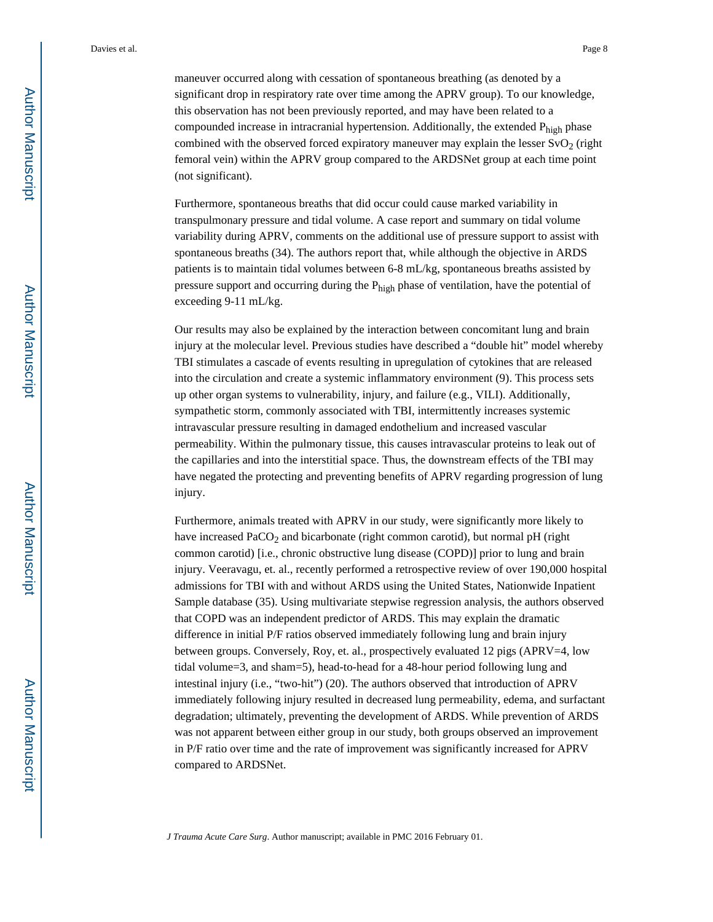maneuver occurred along with cessation of spontaneous breathing (as denoted by a significant drop in respiratory rate over time among the APRV group). To our knowledge, this observation has not been previously reported, and may have been related to a compounded increase in intracranial hypertension. Additionally, the extended Phigh phase combined with the observed forced expiratory maneuver may explain the lesser  $SvO<sub>2</sub>$  (right femoral vein) within the APRV group compared to the ARDSNet group at each time point (not significant).

Furthermore, spontaneous breaths that did occur could cause marked variability in transpulmonary pressure and tidal volume. A case report and summary on tidal volume variability during APRV, comments on the additional use of pressure support to assist with spontaneous breaths (34). The authors report that, while although the objective in ARDS patients is to maintain tidal volumes between 6-8 mL/kg, spontaneous breaths assisted by pressure support and occurring during the P<sub>high</sub> phase of ventilation, have the potential of exceeding 9-11 mL/kg.

Our results may also be explained by the interaction between concomitant lung and brain injury at the molecular level. Previous studies have described a "double hit" model whereby TBI stimulates a cascade of events resulting in upregulation of cytokines that are released into the circulation and create a systemic inflammatory environment (9). This process sets up other organ systems to vulnerability, injury, and failure (e.g., VILI). Additionally, sympathetic storm, commonly associated with TBI, intermittently increases systemic intravascular pressure resulting in damaged endothelium and increased vascular permeability. Within the pulmonary tissue, this causes intravascular proteins to leak out of the capillaries and into the interstitial space. Thus, the downstream effects of the TBI may have negated the protecting and preventing benefits of APRV regarding progression of lung injury.

Furthermore, animals treated with APRV in our study, were significantly more likely to have increased PaCO<sub>2</sub> and bicarbonate (right common carotid), but normal pH (right common carotid) [i.e., chronic obstructive lung disease (COPD)] prior to lung and brain injury. Veeravagu, et. al., recently performed a retrospective review of over 190,000 hospital admissions for TBI with and without ARDS using the United States, Nationwide Inpatient Sample database (35). Using multivariate stepwise regression analysis, the authors observed that COPD was an independent predictor of ARDS. This may explain the dramatic difference in initial P/F ratios observed immediately following lung and brain injury between groups. Conversely, Roy, et. al., prospectively evaluated 12 pigs (APRV=4, low tidal volume=3, and sham=5), head-to-head for a 48-hour period following lung and intestinal injury (i.e., "two-hit") (20). The authors observed that introduction of APRV immediately following injury resulted in decreased lung permeability, edema, and surfactant degradation; ultimately, preventing the development of ARDS. While prevention of ARDS was not apparent between either group in our study, both groups observed an improvement in P/F ratio over time and the rate of improvement was significantly increased for APRV compared to ARDSNet.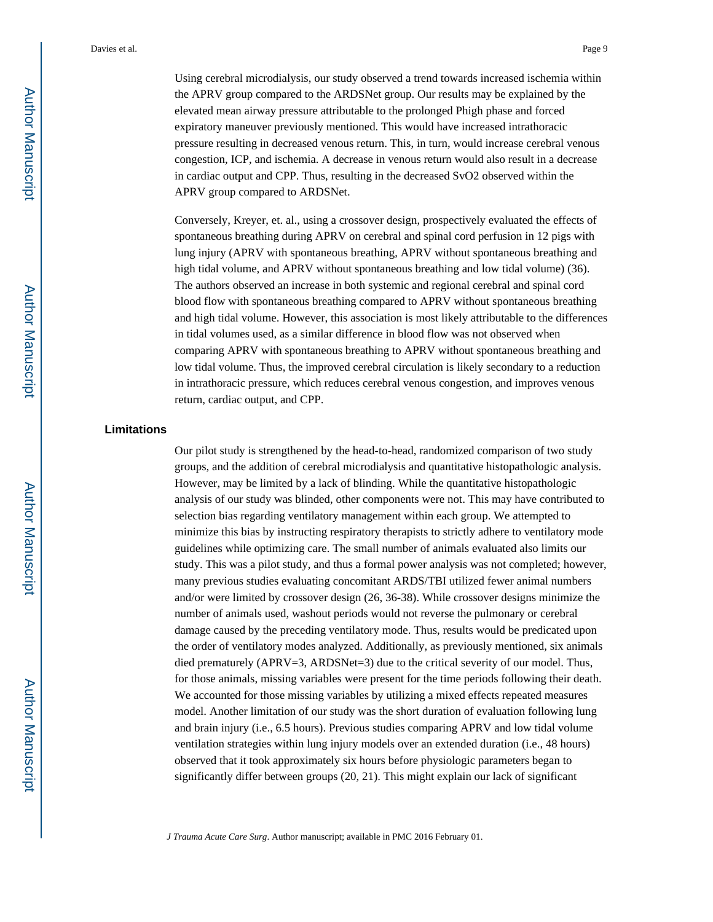Using cerebral microdialysis, our study observed a trend towards increased ischemia within the APRV group compared to the ARDSNet group. Our results may be explained by the elevated mean airway pressure attributable to the prolonged Phigh phase and forced expiratory maneuver previously mentioned. This would have increased intrathoracic pressure resulting in decreased venous return. This, in turn, would increase cerebral venous congestion, ICP, and ischemia. A decrease in venous return would also result in a decrease in cardiac output and CPP. Thus, resulting in the decreased SvO2 observed within the APRV group compared to ARDSNet.

Conversely, Kreyer, et. al., using a crossover design, prospectively evaluated the effects of spontaneous breathing during APRV on cerebral and spinal cord perfusion in 12 pigs with lung injury (APRV with spontaneous breathing, APRV without spontaneous breathing and high tidal volume, and APRV without spontaneous breathing and low tidal volume) (36). The authors observed an increase in both systemic and regional cerebral and spinal cord blood flow with spontaneous breathing compared to APRV without spontaneous breathing and high tidal volume. However, this association is most likely attributable to the differences in tidal volumes used, as a similar difference in blood flow was not observed when comparing APRV with spontaneous breathing to APRV without spontaneous breathing and low tidal volume. Thus, the improved cerebral circulation is likely secondary to a reduction in intrathoracic pressure, which reduces cerebral venous congestion, and improves venous return, cardiac output, and CPP.

## **Limitations**

Our pilot study is strengthened by the head-to-head, randomized comparison of two study groups, and the addition of cerebral microdialysis and quantitative histopathologic analysis. However, may be limited by a lack of blinding. While the quantitative histopathologic analysis of our study was blinded, other components were not. This may have contributed to selection bias regarding ventilatory management within each group. We attempted to minimize this bias by instructing respiratory therapists to strictly adhere to ventilatory mode guidelines while optimizing care. The small number of animals evaluated also limits our study. This was a pilot study, and thus a formal power analysis was not completed; however, many previous studies evaluating concomitant ARDS/TBI utilized fewer animal numbers and/or were limited by crossover design (26, 36-38). While crossover designs minimize the number of animals used, washout periods would not reverse the pulmonary or cerebral damage caused by the preceding ventilatory mode. Thus, results would be predicated upon the order of ventilatory modes analyzed. Additionally, as previously mentioned, six animals died prematurely (APRV=3, ARDSNet=3) due to the critical severity of our model. Thus, for those animals, missing variables were present for the time periods following their death. We accounted for those missing variables by utilizing a mixed effects repeated measures model. Another limitation of our study was the short duration of evaluation following lung and brain injury (i.e., 6.5 hours). Previous studies comparing APRV and low tidal volume ventilation strategies within lung injury models over an extended duration (i.e., 48 hours) observed that it took approximately six hours before physiologic parameters began to significantly differ between groups (20, 21). This might explain our lack of significant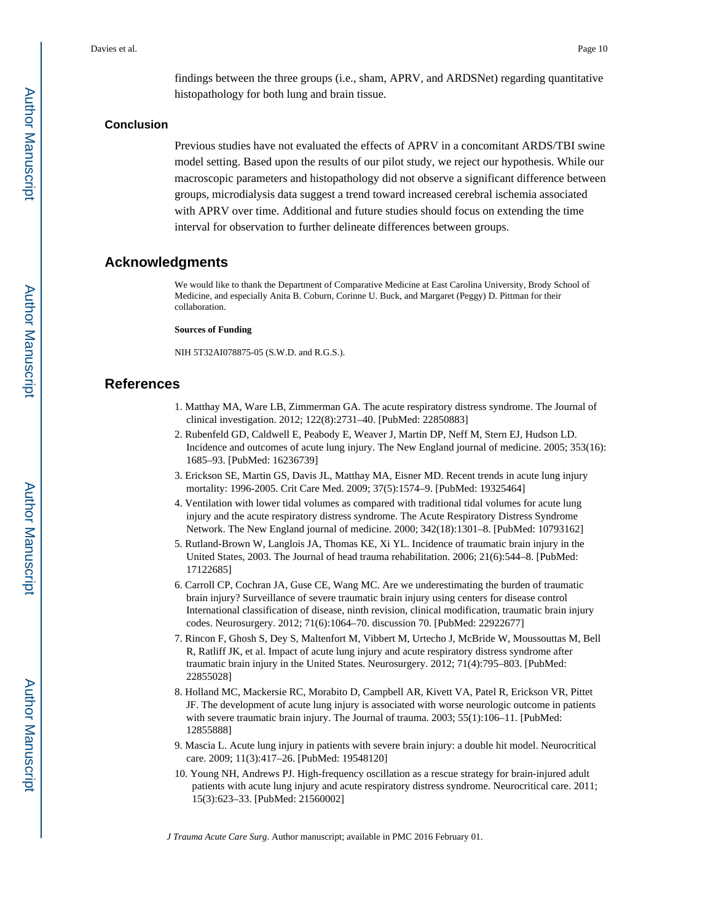findings between the three groups (i.e., sham, APRV, and ARDSNet) regarding quantitative histopathology for both lung and brain tissue.

#### **Conclusion**

Previous studies have not evaluated the effects of APRV in a concomitant ARDS/TBI swine model setting. Based upon the results of our pilot study, we reject our hypothesis. While our macroscopic parameters and histopathology did not observe a significant difference between groups, microdialysis data suggest a trend toward increased cerebral ischemia associated with APRV over time. Additional and future studies should focus on extending the time interval for observation to further delineate differences between groups.

# **Acknowledgments**

We would like to thank the Department of Comparative Medicine at East Carolina University, Brody School of Medicine, and especially Anita B. Coburn, Corinne U. Buck, and Margaret (Peggy) D. Pittman for their collaboration.

#### **Sources of Funding**

NIH 5T32AI078875-05 (S.W.D. and R.G.S.).

# **References**

- 1. Matthay MA, Ware LB, Zimmerman GA. The acute respiratory distress syndrome. The Journal of clinical investigation. 2012; 122(8):2731–40. [PubMed: 22850883]
- 2. Rubenfeld GD, Caldwell E, Peabody E, Weaver J, Martin DP, Neff M, Stern EJ, Hudson LD. Incidence and outcomes of acute lung injury. The New England journal of medicine. 2005; 353(16): 1685–93. [PubMed: 16236739]
- 3. Erickson SE, Martin GS, Davis JL, Matthay MA, Eisner MD. Recent trends in acute lung injury mortality: 1996-2005. Crit Care Med. 2009; 37(5):1574–9. [PubMed: 19325464]
- 4. Ventilation with lower tidal volumes as compared with traditional tidal volumes for acute lung injury and the acute respiratory distress syndrome. The Acute Respiratory Distress Syndrome Network. The New England journal of medicine. 2000; 342(18):1301–8. [PubMed: 10793162]
- 5. Rutland-Brown W, Langlois JA, Thomas KE, Xi YL. Incidence of traumatic brain injury in the United States, 2003. The Journal of head trauma rehabilitation. 2006; 21(6):544–8. [PubMed: 17122685]
- 6. Carroll CP, Cochran JA, Guse CE, Wang MC. Are we underestimating the burden of traumatic brain injury? Surveillance of severe traumatic brain injury using centers for disease control International classification of disease, ninth revision, clinical modification, traumatic brain injury codes. Neurosurgery. 2012; 71(6):1064–70. discussion 70. [PubMed: 22922677]
- 7. Rincon F, Ghosh S, Dey S, Maltenfort M, Vibbert M, Urtecho J, McBride W, Moussouttas M, Bell R, Ratliff JK, et al. Impact of acute lung injury and acute respiratory distress syndrome after traumatic brain injury in the United States. Neurosurgery. 2012; 71(4):795–803. [PubMed: 22855028]
- 8. Holland MC, Mackersie RC, Morabito D, Campbell AR, Kivett VA, Patel R, Erickson VR, Pittet JF. The development of acute lung injury is associated with worse neurologic outcome in patients with severe traumatic brain injury. The Journal of trauma. 2003; 55(1):106–11. [PubMed: 12855888]
- 9. Mascia L. Acute lung injury in patients with severe brain injury: a double hit model. Neurocritical care. 2009; 11(3):417–26. [PubMed: 19548120]
- 10. Young NH, Andrews PJ. High-frequency oscillation as a rescue strategy for brain-injured adult patients with acute lung injury and acute respiratory distress syndrome. Neurocritical care. 2011; 15(3):623–33. [PubMed: 21560002]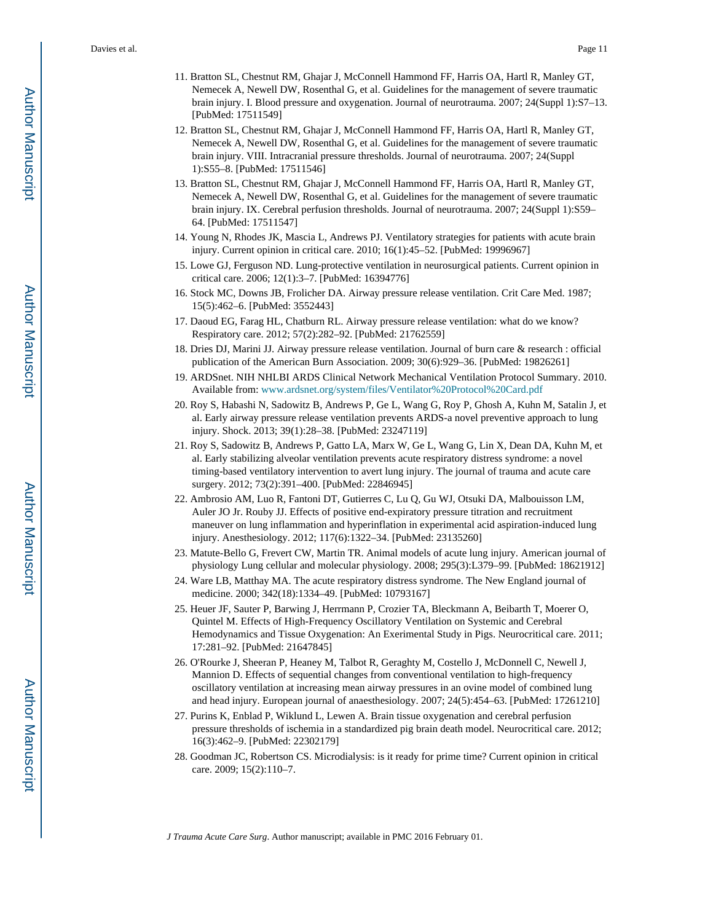- 11. Bratton SL, Chestnut RM, Ghajar J, McConnell Hammond FF, Harris OA, Hartl R, Manley GT, Nemecek A, Newell DW, Rosenthal G, et al. Guidelines for the management of severe traumatic brain injury. I. Blood pressure and oxygenation. Journal of neurotrauma. 2007; 24(Suppl 1):S7–13. [PubMed: 17511549]
- 12. Bratton SL, Chestnut RM, Ghajar J, McConnell Hammond FF, Harris OA, Hartl R, Manley GT, Nemecek A, Newell DW, Rosenthal G, et al. Guidelines for the management of severe traumatic brain injury. VIII. Intracranial pressure thresholds. Journal of neurotrauma. 2007; 24(Suppl 1):S55–8. [PubMed: 17511546]
- 13. Bratton SL, Chestnut RM, Ghajar J, McConnell Hammond FF, Harris OA, Hartl R, Manley GT, Nemecek A, Newell DW, Rosenthal G, et al. Guidelines for the management of severe traumatic brain injury. IX. Cerebral perfusion thresholds. Journal of neurotrauma. 2007; 24(Suppl 1):S59– 64. [PubMed: 17511547]
- 14. Young N, Rhodes JK, Mascia L, Andrews PJ. Ventilatory strategies for patients with acute brain injury. Current opinion in critical care. 2010; 16(1):45–52. [PubMed: 19996967]
- 15. Lowe GJ, Ferguson ND. Lung-protective ventilation in neurosurgical patients. Current opinion in critical care. 2006; 12(1):3–7. [PubMed: 16394776]
- 16. Stock MC, Downs JB, Frolicher DA. Airway pressure release ventilation. Crit Care Med. 1987; 15(5):462–6. [PubMed: 3552443]
- 17. Daoud EG, Farag HL, Chatburn RL. Airway pressure release ventilation: what do we know? Respiratory care. 2012; 57(2):282–92. [PubMed: 21762559]
- 18. Dries DJ, Marini JJ. Airway pressure release ventilation. Journal of burn care & research : official publication of the American Burn Association. 2009; 30(6):929–36. [PubMed: 19826261]
- 19. ARDSnet. NIH NHLBI ARDS Clinical Network Mechanical Ventilation Protocol Summary. 2010. Available from: [www.ardsnet.org/system/files/Ventilator%20Protocol%20Card.pdf](http://www.ardsnet.org/system/files/Ventilator%20Protocol%20Card.pdf)
- 20. Roy S, Habashi N, Sadowitz B, Andrews P, Ge L, Wang G, Roy P, Ghosh A, Kuhn M, Satalin J, et al. Early airway pressure release ventilation prevents ARDS-a novel preventive approach to lung injury. Shock. 2013; 39(1):28–38. [PubMed: 23247119]
- 21. Roy S, Sadowitz B, Andrews P, Gatto LA, Marx W, Ge L, Wang G, Lin X, Dean DA, Kuhn M, et al. Early stabilizing alveolar ventilation prevents acute respiratory distress syndrome: a novel timing-based ventilatory intervention to avert lung injury. The journal of trauma and acute care surgery. 2012; 73(2):391–400. [PubMed: 22846945]
- 22. Ambrosio AM, Luo R, Fantoni DT, Gutierres C, Lu Q, Gu WJ, Otsuki DA, Malbouisson LM, Auler JO Jr. Rouby JJ. Effects of positive end-expiratory pressure titration and recruitment maneuver on lung inflammation and hyperinflation in experimental acid aspiration-induced lung injury. Anesthesiology. 2012; 117(6):1322–34. [PubMed: 23135260]
- 23. Matute-Bello G, Frevert CW, Martin TR. Animal models of acute lung injury. American journal of physiology Lung cellular and molecular physiology. 2008; 295(3):L379–99. [PubMed: 18621912]
- 24. Ware LB, Matthay MA. The acute respiratory distress syndrome. The New England journal of medicine. 2000; 342(18):1334–49. [PubMed: 10793167]
- 25. Heuer JF, Sauter P, Barwing J, Herrmann P, Crozier TA, Bleckmann A, Beibarth T, Moerer O, Quintel M. Effects of High-Frequency Oscillatory Ventilation on Systemic and Cerebral Hemodynamics and Tissue Oxygenation: An Exerimental Study in Pigs. Neurocritical care. 2011; 17:281–92. [PubMed: 21647845]
- 26. O'Rourke J, Sheeran P, Heaney M, Talbot R, Geraghty M, Costello J, McDonnell C, Newell J, Mannion D. Effects of sequential changes from conventional ventilation to high-frequency oscillatory ventilation at increasing mean airway pressures in an ovine model of combined lung and head injury. European journal of anaesthesiology. 2007; 24(5):454–63. [PubMed: 17261210]
- 27. Purins K, Enblad P, Wiklund L, Lewen A. Brain tissue oxygenation and cerebral perfusion pressure thresholds of ischemia in a standardized pig brain death model. Neurocritical care. 2012; 16(3):462–9. [PubMed: 22302179]
- 28. Goodman JC, Robertson CS. Microdialysis: is it ready for prime time? Current opinion in critical care. 2009; 15(2):110–7.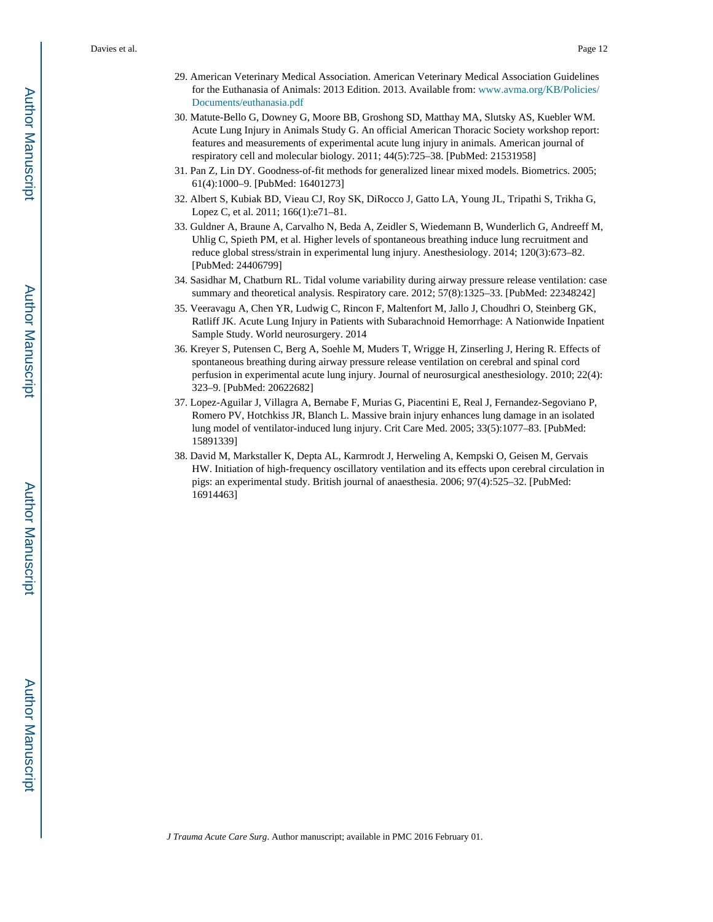- 29. American Veterinary Medical Association. American Veterinary Medical Association Guidelines for the Euthanasia of Animals: 2013 Edition. 2013. Available from: [www.avma.org/KB/Policies/](http://www.avma.org/KB/Policies/Documents/euthanasia.pdf) [Documents/euthanasia.pdf](http://www.avma.org/KB/Policies/Documents/euthanasia.pdf)
- 30. Matute-Bello G, Downey G, Moore BB, Groshong SD, Matthay MA, Slutsky AS, Kuebler WM. Acute Lung Injury in Animals Study G. An official American Thoracic Society workshop report: features and measurements of experimental acute lung injury in animals. American journal of respiratory cell and molecular biology. 2011; 44(5):725–38. [PubMed: 21531958]
- 31. Pan Z, Lin DY. Goodness-of-fit methods for generalized linear mixed models. Biometrics. 2005; 61(4):1000–9. [PubMed: 16401273]
- 32. Albert S, Kubiak BD, Vieau CJ, Roy SK, DiRocco J, Gatto LA, Young JL, Tripathi S, Trikha G, Lopez C, et al. 2011; 166(1):e71–81.
- 33. Guldner A, Braune A, Carvalho N, Beda A, Zeidler S, Wiedemann B, Wunderlich G, Andreeff M, Uhlig C, Spieth PM, et al. Higher levels of spontaneous breathing induce lung recruitment and reduce global stress/strain in experimental lung injury. Anesthesiology. 2014; 120(3):673–82. [PubMed: 24406799]
- 34. Sasidhar M, Chatburn RL. Tidal volume variability during airway pressure release ventilation: case summary and theoretical analysis. Respiratory care. 2012; 57(8):1325–33. [PubMed: 22348242]
- 35. Veeravagu A, Chen YR, Ludwig C, Rincon F, Maltenfort M, Jallo J, Choudhri O, Steinberg GK, Ratliff JK. Acute Lung Injury in Patients with Subarachnoid Hemorrhage: A Nationwide Inpatient Sample Study. World neurosurgery. 2014
- 36. Kreyer S, Putensen C, Berg A, Soehle M, Muders T, Wrigge H, Zinserling J, Hering R. Effects of spontaneous breathing during airway pressure release ventilation on cerebral and spinal cord perfusion in experimental acute lung injury. Journal of neurosurgical anesthesiology. 2010; 22(4): 323–9. [PubMed: 20622682]
- 37. Lopez-Aguilar J, Villagra A, Bernabe F, Murias G, Piacentini E, Real J, Fernandez-Segoviano P, Romero PV, Hotchkiss JR, Blanch L. Massive brain injury enhances lung damage in an isolated lung model of ventilator-induced lung injury. Crit Care Med. 2005; 33(5):1077–83. [PubMed: 15891339]
- 38. David M, Markstaller K, Depta AL, Karmrodt J, Herweling A, Kempski O, Geisen M, Gervais HW. Initiation of high-frequency oscillatory ventilation and its effects upon cerebral circulation in pigs: an experimental study. British journal of anaesthesia. 2006; 97(4):525–32. [PubMed: 16914463]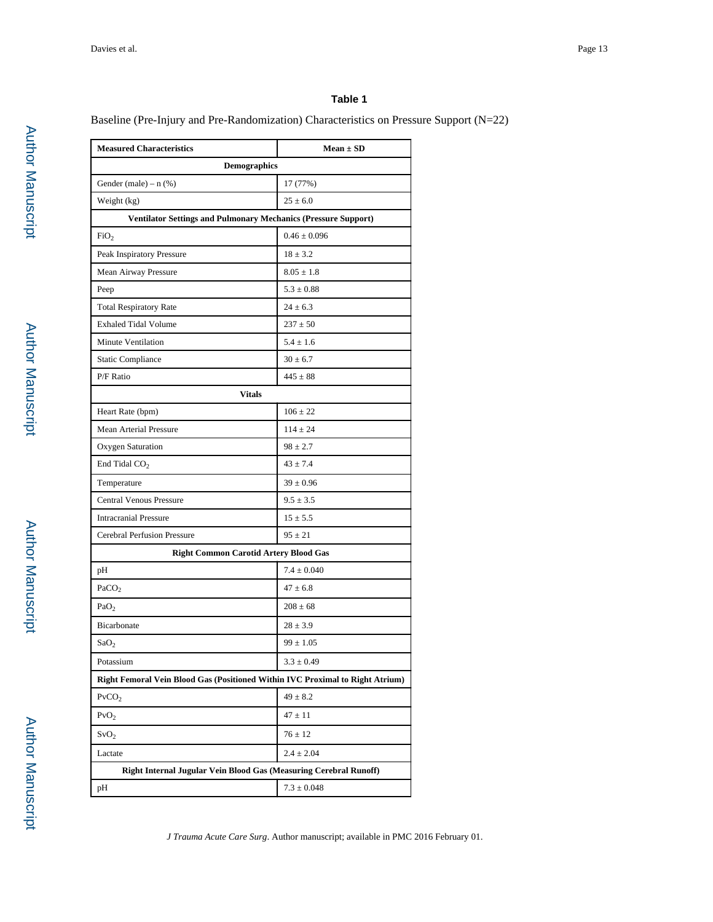Baseline (Pre-Injury and Pre-Randomization) Characteristics on Pressure Support (N=22)

| <b>Measured Characteristics</b>                                               | $Mean \pm SD$    |  |  |  |  |  |  |
|-------------------------------------------------------------------------------|------------------|--|--|--|--|--|--|
| <b>Demographics</b>                                                           |                  |  |  |  |  |  |  |
| Gender (male) – $n$ (%)                                                       | 17 (77%)         |  |  |  |  |  |  |
| Weight (kg)                                                                   | $25 \pm 6.0$     |  |  |  |  |  |  |
| <b>Ventilator Settings and Pulmonary Mechanics (Pressure Support)</b>         |                  |  |  |  |  |  |  |
| FiO <sub>2</sub>                                                              | $0.46 \pm 0.096$ |  |  |  |  |  |  |
| Peak Inspiratory Pressure                                                     | $18 \pm 3.2$     |  |  |  |  |  |  |
| Mean Airway Pressure                                                          | $8.05 \pm 1.8$   |  |  |  |  |  |  |
| Peep                                                                          | $5.3 \pm 0.88$   |  |  |  |  |  |  |
| <b>Total Respiratory Rate</b>                                                 | $24 \pm 6.3$     |  |  |  |  |  |  |
| <b>Exhaled Tidal Volume</b>                                                   | $237 \pm 50$     |  |  |  |  |  |  |
| Minute Ventilation                                                            | $5.4 \pm 1.6$    |  |  |  |  |  |  |
| <b>Static Compliance</b>                                                      | $30 \pm 6.7$     |  |  |  |  |  |  |
| P/F Ratio                                                                     | $445 \pm 88$     |  |  |  |  |  |  |
| <b>Vitals</b>                                                                 |                  |  |  |  |  |  |  |
| Heart Rate (bpm)                                                              | $106 \pm 22$     |  |  |  |  |  |  |
| Mean Arterial Pressure                                                        | $114 \pm 24$     |  |  |  |  |  |  |
| Oxygen Saturation                                                             | $98 \pm 2.7$     |  |  |  |  |  |  |
| End Tidal $CO2$                                                               | $43 \pm 7.4$     |  |  |  |  |  |  |
| Temperature                                                                   | $39 \pm 0.96$    |  |  |  |  |  |  |
| <b>Central Venous Pressure</b>                                                | $9.5 \pm 3.5$    |  |  |  |  |  |  |
| <b>Intracranial Pressure</b>                                                  | $15 \pm 5.5$     |  |  |  |  |  |  |
| Cerebral Perfusion Pressure                                                   | $95 \pm 21$      |  |  |  |  |  |  |
| <b>Right Common Carotid Artery Blood Gas</b>                                  |                  |  |  |  |  |  |  |
| pН                                                                            | $7.4 \pm 0.040$  |  |  |  |  |  |  |
| PaCO <sub>2</sub>                                                             | $47 \pm 6.8$     |  |  |  |  |  |  |
| PaO <sub>2</sub>                                                              | $208 \pm 68$     |  |  |  |  |  |  |
| Bicarbonate                                                                   | $28 \pm 3.9$     |  |  |  |  |  |  |
| SaO <sub>2</sub>                                                              | $99 \pm 1.05$    |  |  |  |  |  |  |
| Potassium                                                                     | $3.3 \pm 0.49$   |  |  |  |  |  |  |
| Right Femoral Vein Blood Gas (Positioned Within IVC Proximal to Right Atrium) |                  |  |  |  |  |  |  |
| PvCO <sub>2</sub>                                                             | $49 \pm 8.2$     |  |  |  |  |  |  |
| PvO <sub>2</sub>                                                              | $47 \pm 11$      |  |  |  |  |  |  |
| SvO <sub>2</sub>                                                              | $76 \pm 12$      |  |  |  |  |  |  |
| Lactate                                                                       | $2.4 \pm 2.04$   |  |  |  |  |  |  |
| Right Internal Jugular Vein Blood Gas (Measuring Cerebral Runoff)             |                  |  |  |  |  |  |  |
| pH                                                                            | $7.3 \pm 0.048$  |  |  |  |  |  |  |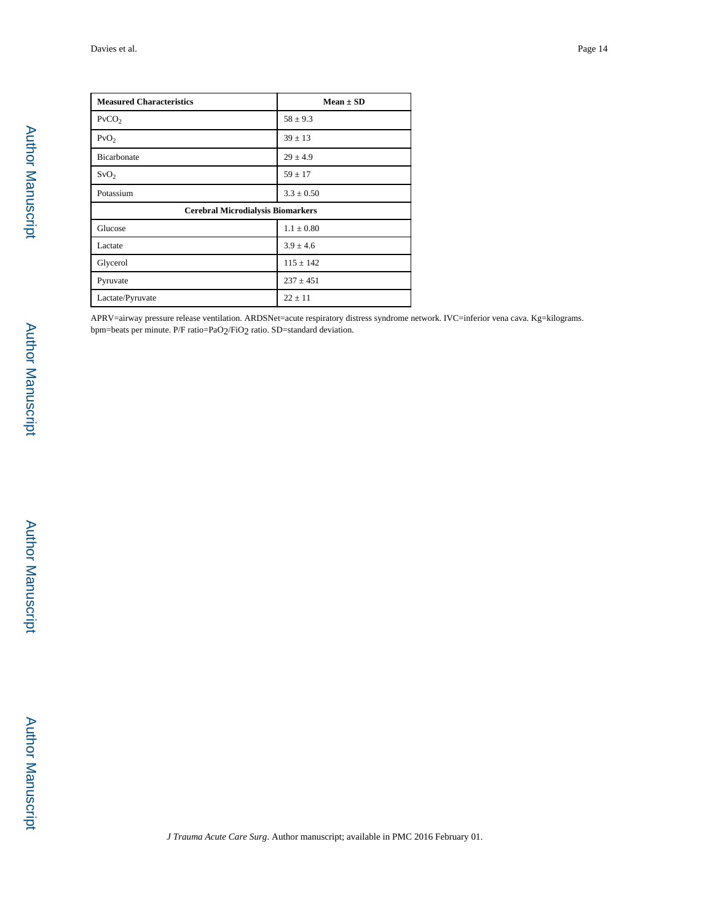| <b>Measured Characteristics</b>          | $Mean \pm SD$  |
|------------------------------------------|----------------|
| PvCO <sub>2</sub>                        | $58 \pm 9.3$   |
| PvO <sub>2</sub>                         | $39 \pm 13$    |
| Bicarbonate                              | $29 \pm 4.9$   |
| SvO <sub>2</sub>                         | $59 \pm 17$    |
| Potassium                                | $3.3 \pm 0.50$ |
| <b>Cerebral Microdialysis Biomarkers</b> |                |
| Glucose                                  | $1.1 \pm 0.80$ |
| Lactate                                  | $3.9 \pm 4.6$  |
| Glycerol                                 | $115 \pm 142$  |
| Pyruvate                                 | $237 \pm 451$  |
| Lactate/Pyruvate                         | $22 \pm 11$    |

APRV=airway pressure release ventilation. ARDSNet=acute respiratory distress syndrome network. IVC=inferior vena cava. Kg=kilograms. bpm=beats per minute. P/F ratio=PaO2/FiO2 ratio. SD=standard deviation.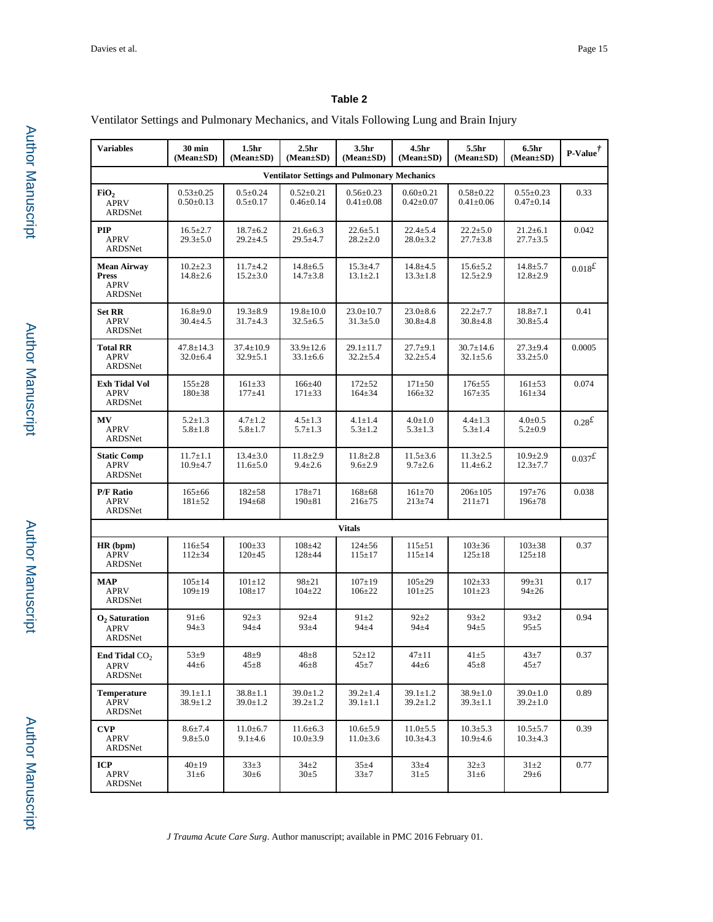Ventilator Settings and Pulmonary Mechanics, and Vitals Following Lung and Brain Injury

| <b>Variables</b>                                             | 30 min<br>(Mean±SD)                | 1.5 <sub>hr</sub><br>$(Mean \pm SD)$ | 2.5 <sub>hr</sub><br>$(Mean \pm SD)$ | 3.5hr<br>(Mean±SD)                 | 4.5 <sub>hr</sub><br>$(Mean \pm SD)$ | 5.5hr<br>(Mean±SD)                 | 6.5 <sub>hr</sub><br>(Mean±SD)     | $\textbf{P-Value}^{\dagger}$ |  |  |
|--------------------------------------------------------------|------------------------------------|--------------------------------------|--------------------------------------|------------------------------------|--------------------------------------|------------------------------------|------------------------------------|------------------------------|--|--|
| <b>Ventilator Settings and Pulmonary Mechanics</b>           |                                    |                                      |                                      |                                    |                                      |                                    |                                    |                              |  |  |
| FiO <sub>2</sub><br><b>APRV</b><br><b>ARDSNet</b>            | $0.53 \pm 0.25$<br>$0.50 \pm 0.13$ | $0.5 \pm 0.24$<br>$0.5 \pm 0.17$     | $0.52 \pm 0.21$<br>$0.46 \pm 0.14$   | $0.56 \pm 0.23$<br>$0.41 \pm 0.08$ | $0.60 \pm 0.21$<br>$0.42 \pm 0.07$   | $0.58 \pm 0.22$<br>$0.41 \pm 0.06$ | $0.55 \pm 0.23$<br>$0.47 \pm 0.14$ | 0.33                         |  |  |
| <b>PIP</b><br><b>APRV</b><br>ARDSNet                         | $16.5 \pm 2.7$<br>$29.3 \pm 5.0$   | $18.7 \pm 6.2$<br>$29.2 \pm 4.5$     | $21.6 \pm 6.3$<br>$29.5 \pm 4.7$     | $22.6 \pm 5.1$<br>$28.2 \pm 2.0$   | $22.4 \pm 5.4$<br>$28.0 \pm 3.2$     | $22.2 \pm 5.0$<br>$27.7 \pm 3.8$   | $21.2 \pm 6.1$<br>$27.7 \pm 3.5$   | 0.042                        |  |  |
| <b>Mean Airway</b><br><b>Press</b><br><b>APRV</b><br>ARDSNet | $10.2 \pm 2.3$<br>$14.8 \pm 2.6$   | $11.7 \pm 4.2$<br>$15.2 \pm 3.0$     | $14.8 \pm 6.5$<br>$14.7 \pm 3.8$     | $15.3 \pm 4.7$<br>$13.1 \pm 2.1$   | $14.8 \pm 4.5$<br>$13.3 \pm 1.8$     | $15.6 \pm 5.2$<br>$12.5 \pm 2.9$   | $14.8 \pm 5.7$<br>$12.8 \pm 2.9$   | $0.018^{\textstyle \pounds}$ |  |  |
| <b>Set RR</b><br><b>APRV</b><br>ARDSNet                      | $16.8 \pm 9.0$<br>$30.4 \pm 4.5$   | $19.3 \pm 8.9$<br>$31.7 \pm 4.3$     | $19.8 \pm 10.0$<br>$32.5 \pm 6.5$    | $23.0 \pm 10.7$<br>$31.3 \pm 5.0$  | $23.0 \pm 8.6$<br>$30.8 \pm 4.8$     | $22.2 \pm 7.7$<br>$30.8 + 4.8$     | $18.8 \pm 7.1$<br>$30.8 + 5.4$     | 0.41                         |  |  |
| <b>Total RR</b><br><b>APRV</b><br>ARDSNet                    | 47.8±14.3<br>$32.0 \pm 6.4$        | $37.4 \pm 10.9$<br>$32.9 \pm 5.1$    | 33.9±12.6<br>$33.1 \pm 6.6$          | $29.1 \pm 11.7$<br>$32.2 \pm 5.4$  | $27.7 \pm 9.1$<br>$32.2 \pm 5.4$     | $30.7 \pm 14.6$<br>$32.1 \pm 5.6$  | $27.3 \pm 9.4$<br>$33.2 \pm 5.0$   | 0.0005                       |  |  |
| <b>Exh Tidal Vol</b><br><b>APRV</b><br>ARDSNet               | $155 \pm 28$<br>$180 \pm 38$       | $161 \pm 33$<br>$177 + 41$           | $166 \pm 40$<br>$171 \pm 33$         | $172 + 52$<br>$164 \pm 34$         | $171 \pm 50$<br>$166 \pm 32$         | $176 + 55$<br>$167 + 35$           | $161 \pm 53$<br>$161 \pm 34$       | 0.074                        |  |  |
| MV<br><b>APRV</b><br>ARDSNet                                 | $5.2 \pm 1.3$<br>$5.8 \pm 1.8$     | $4.7 \pm 1.2$<br>$5.8 \pm 1.7$       | $4.5 \pm 1.3$<br>$5.7 \pm 1.3$       | $4.1 \pm 1.4$<br>$5.3 \pm 1.2$     | $4.0 \pm 1.0$<br>$5.3 \pm 1.3$       | $4.4 \pm 1.3$<br>$5.3 \pm 1.4$     | $4.0 \pm 0.5$<br>$5.2 \pm 0.9$     | 0.28 <sup>f</sup>            |  |  |
| <b>Static Comp</b><br><b>APRV</b><br>ARDSNet                 | $11.7 \pm 1.1$<br>$10.9 + 4.7$     | $13.4 \pm 3.0$<br>$11.6 \pm 5.0$     | $11.8 \pm 2.9$<br>$9.4 \pm 2.6$      | $11.8 \pm 2.8$<br>$9.6 \pm 2.9$    | $11.5 \pm 3.6$<br>$9.7 \pm 2.6$      | $11.3 \pm 2.5$<br>$11.4 \pm 6.2$   | $10.9 \pm 2.9$<br>$12.3 \pm 7.7$   | $0.037^{\textstyle \pounds}$ |  |  |
| <b>P/F Ratio</b><br><b>APRV</b><br>ARDSNet                   | $165 \pm 66$<br>$181 \pm 52$       | $182 + 58$<br>$194 \pm 68$           | $178 + 71$<br>$190 \pm 81$           | $168 \pm 68$<br>$216 \pm 75$       | $161 \pm 70$<br>$213 + 74$           | $206 \pm 105$<br>$211 \pm 71$      | $197 + 76$<br>$196 + 78$           | 0.038                        |  |  |
|                                                              |                                    |                                      |                                      | <b>Vitals</b>                      |                                      |                                    |                                    |                              |  |  |
| HR (bpm)<br><b>APRV</b><br>ARDSNet                           | $116 \pm 54$<br>$112 \pm 34$       | $100 \pm 33$<br>$120 \pm 45$         | $108 + 42$<br>$128 + 44$             | $124 \pm 56$<br>$115 \pm 17$       | $115 \pm 51$<br>$115 \pm 14$         | $103 \pm 36$<br>$125 \pm 18$       | $103 \pm 38$<br>$125 \pm 18$       | 0.37                         |  |  |
| MAP<br><b>APRV</b><br><b>ARDSNet</b>                         | $105 \pm 14$<br>$109 \pm 19$       | $101 \pm 12$<br>$108 + 17$           | $98 + 21$<br>$104 \pm 22$            | $107 + 19$<br>$106 \pm 22$         | $105 \pm 29$<br>$101 \pm 25$         | $102\pm33$<br>$101 \pm 23$         | $99 + 31$<br>$94 \pm 26$           | 0.17                         |  |  |
| $O2$ Saturation<br><b>APRV</b><br>ARDSNet                    | $91\pm 6$<br>$94\pm3$              | $92\pm3$<br>$94 + 4$                 | $92 + 4$<br>$93\pm4$                 | $91 \pm 2$<br>$94\pm4$             | $92 + 2$<br>$94 + 4$                 | $93+2$<br>$94+5$                   | $93 + 2$<br>$95 + 5$               | 0.94                         |  |  |
| End Tidal $CO2$<br><b>APRV</b><br>ARDSNet                    | $53\pm9$<br>$44\pm 6$              | $48\pm9$<br>$45\pm8$                 | $48\pm8$<br>$46\pm8$                 | $52 + 12$<br>$45\pm7$              | $47 + 11$<br>$44\pm 6$               | $41 + 5$<br>$45 \pm 8$             | $43 + 7$<br>$45\pm7$               | 0.37                         |  |  |
| <b>Temperature</b><br><b>APRV</b><br>ARDSNet                 | $39.1 \pm 1.1$<br>$38.9 \pm 1.2$   | $38.8 \pm 1.1$<br>$39.0 \pm 1.2$     | $39.0 \pm 1.2$<br>$39.2 \pm 1.2$     | $39.2 \pm 1.4$<br>$39.1 \pm 1.1$   | $39.1 \pm 1.2$<br>$39.2 \pm 1.2$     | $38.9 \pm 1.0$<br>$39.3 \pm 1.1$   | $39.0 \pm 1.0$<br>$39.2 \pm 1.0$   | 0.89                         |  |  |
| <b>CVP</b><br>APRV<br>ARDSNet                                | $8.6 \pm 7.4$<br>$9.8 \pm 5.0$     | $11.0 \pm 6.7$<br>$9.1 \pm 4.6$      | $11.6 \pm 6.3$<br>$10.0 \pm 3.9$     | $10.6{\pm}5.9$<br>$11.0 \pm 3.6$   | $11.0 \pm 5.5$<br>$10.3 \pm 4.3$     | $10.3 \pm 5.3$<br>$10.9 + 4.6$     | $10.5 \pm 5.7$<br>$10.3 \pm 4.3$   | 0.39                         |  |  |
| <b>ICP</b><br><b>APRV</b><br>ARDSNet                         | 40±19<br>$31\pm 6$                 | $33\pm3$<br>$30 \pm 6$               | $34\pm2$<br>$30 \pm 5$               | $35+4$<br>$33\pm7$                 | $33 + 4$<br>$31\pm5$                 | $32+3$<br>$31\pm6$                 | $31\pm2$<br>$29 \pm 6$             | 0.77                         |  |  |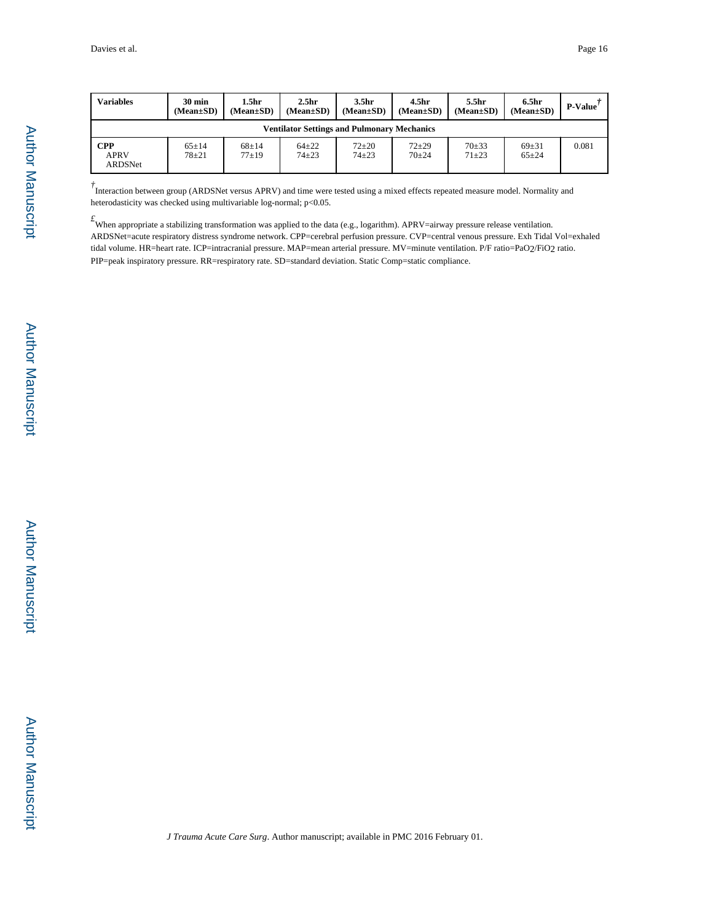| <b>Variables</b>                     | $30 \text{ min}$<br>$(Mean \pm SD)$                | 1.5hr<br>$(Mean \pm SD)$ | 2.5 <sub>hr</sub><br>$(Mean \pm SD)$ | 3.5 <sub>hr</sub><br>$(Mean \pm SD)$ | 4.5 <sub>hr</sub><br>$(Mean \pm SD)$ | 5.5 <sub>hr</sub><br>$(Mean \pm SD)$ | 6.5 <sub>hr</sub><br>$(Mean \pm SD)$ | <b>P-Value</b> |  |
|--------------------------------------|----------------------------------------------------|--------------------------|--------------------------------------|--------------------------------------|--------------------------------------|--------------------------------------|--------------------------------------|----------------|--|
|                                      | <b>Ventilator Settings and Pulmonary Mechanics</b> |                          |                                      |                                      |                                      |                                      |                                      |                |  |
| <b>CPP</b><br><b>APRV</b><br>ARDSNet | $65 \pm 14$<br>$78 + 21$                           | $68+14$<br>$77+19$       | $64 + 22$<br>$74 + 23$               | $72 + 20$<br>$74 + 23$               | $72 + 29$<br>$70+24$                 | $70+33$<br>$71 + 23$                 | $69 + 31$<br>$65 + 24$               | 0.081          |  |

<sup>†</sup> Interaction between group (ARDSNet versus APRV) and time were tested using a mixed effects repeated measure model. Normality and heterodasticity was checked using multivariable log-normal; p<0.05.

*£*When appropriate a stabilizing transformation was applied to the data (e.g., logarithm). APRV=airway pressure release ventilation. ARDSNet=acute respiratory distress syndrome network. CPP=cerebral perfusion pressure. CVP=central venous pressure. Exh Tidal Vol=exhaled tidal volume. HR=heart rate. ICP=intracranial pressure. MAP=mean arterial pressure. MV=minute ventilation. P/F ratio=PaO2/FiO2 ratio. PIP=peak inspiratory pressure. RR=respiratory rate. SD=standard deviation. Static Comp=static compliance.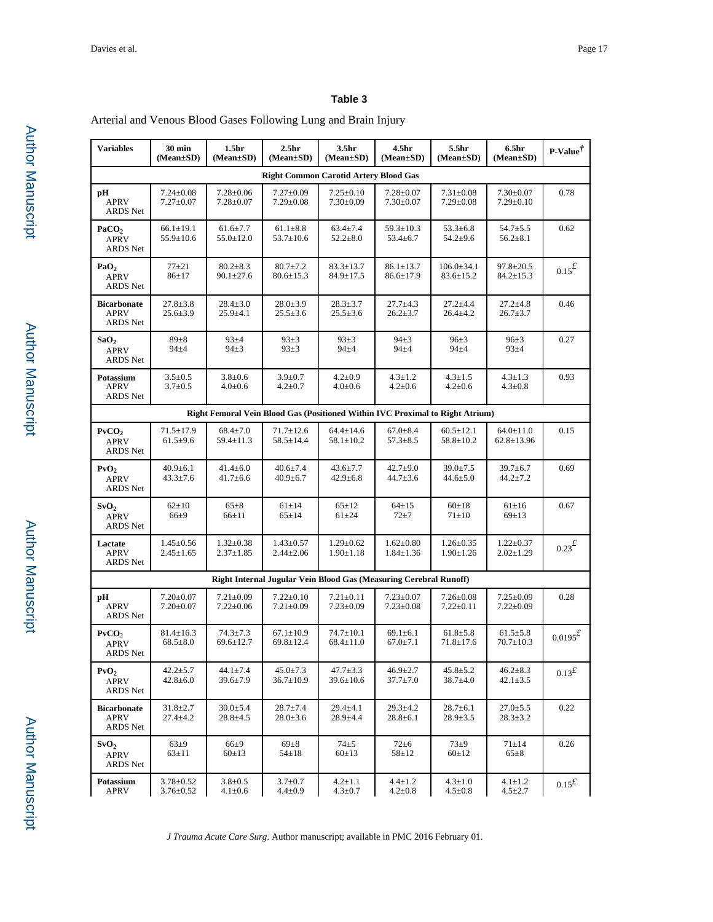Arterial and Venous Blood Gases Following Lung and Brain Injury

| <b>Variables</b>                                    | 30 min<br>(Mean±SD)                | 1.5 <sub>hr</sub><br>$(Mean \pm SD)$ | 2.5 <sub>hr</sub><br>(Mean±SD)                                                | 3.5 <sub>hr</sub><br>$(Mean \pm SD)$ | 4.5 <sub>hr</sub><br>$(Mean \pm SD)$ | 5.5hr<br>$(Mean \pm SD)$            | 6.5 <sub>hr</sub><br>(Mean±SD)      | P-Value $^{\dagger}$         |  |
|-----------------------------------------------------|------------------------------------|--------------------------------------|-------------------------------------------------------------------------------|--------------------------------------|--------------------------------------|-------------------------------------|-------------------------------------|------------------------------|--|
| <b>Right Common Carotid Artery Blood Gas</b>        |                                    |                                      |                                                                               |                                      |                                      |                                     |                                     |                              |  |
| рH<br><b>APRV</b><br><b>ARDS</b> Net                | $7.24 \pm 0.08$<br>$7.27 \pm 0.07$ | $7.28 \pm 0.06$<br>$7.28 \pm 0.07$   | $7.27 \pm 0.09$<br>$7.29 \pm 0.08$                                            | $7.25 \pm 0.10$<br>$7.30 \pm 0.09$   | $7.28 \pm 0.07$<br>$7.30 \pm 0.07$   | $7.31 \pm 0.08$<br>$7.29 \pm 0.08$  | $7.30 \pm 0.07$<br>$7.29 \pm 0.10$  | 0.78                         |  |
| PaCO <sub>2</sub><br><b>APRV</b><br><b>ARDS</b> Net | $66.1 \pm 19.1$<br>$55.9 \pm 10.6$ | $61.6 \pm 7.7$<br>$55.0 \pm 12.0$    | $61.1 \pm 8.8$<br>$53.7 \pm 10.6$                                             | $63.4 \pm 7.4$<br>$52.2 \pm 8.0$     | $59.3 \pm 10.3$<br>$53.4 \pm 6.7$    | $53.3 \pm 6.8$<br>$54.2 \pm 9.6$    | $54.7 + 5.5$<br>$56.2 \pm 8.1$      | 0.62                         |  |
| PaO <sub>2</sub><br><b>APRV</b><br>ARDS Net         | $77+21$<br>$86 \pm 17$             | $80.2 \pm 8.3$<br>$90.1 \pm 27.6$    | $80.7 \pm 7.2$<br>$80.6 \pm 15.3$                                             | $83.3 \pm 13.7$<br>84.9±17.5         | $86.1 \pm 13.7$<br>$86.6 \pm 17.9$   | $106.0 \pm 34.1$<br>$83.6 \pm 15.2$ | $97.8 \pm 20.5$<br>$84.2 \pm 15.3$  | $0.15^{\textit{f}}$          |  |
| <b>Bicarbonate</b><br>APRV<br>ARDS Net              | $27.8 \pm 3.8$<br>$25.6 \pm 3.9$   | $28.4 \pm 3.0$<br>$25.9 \pm 4.1$     | $28.0 \pm 3.9$<br>$25.5 \pm 3.6$                                              | $28.3 \pm 3.7$<br>$25.5 \pm 3.6$     | $27.7 \pm 4.3$<br>$26.2 \pm 3.7$     | $27.2 + 4.4$<br>$26.4 \pm 4.2$      | $27.2 \pm 4.8$<br>$26.7 \pm 3.7$    | 0.46                         |  |
| SaO <sub>2</sub><br><b>APRV</b><br><b>ARDS</b> Net  | $89 + 8$<br>$94\pm4$               | $93 + 4$<br>$94\pm3$                 | $93+3$<br>$93+3$                                                              | $93+3$<br>$94\pm4$                   | $94+3$<br>$94\pm4$                   | $96 \pm 3$<br>$94\pm4$              | $96 \pm 3$<br>$93 + 4$              | 0.27                         |  |
| Potassium<br><b>APRV</b><br>ARDS Net                | $3.5 \pm 0.5$<br>$3.7 \pm 0.5$     | $3.8 \pm 0.6$<br>$4.0 \pm 0.6$       | $3.9 \pm 0.7$<br>$4.2 \pm 0.7$                                                | $4.2 \pm 0.9$<br>$4.0 \pm 0.6$       | $4.3 \pm 1.2$<br>$4.2 \pm 0.6$       | $4.3 \pm 1.5$<br>$4.2 \pm 0.6$      | $4.3 \pm 1.3$<br>$4.3 \pm 0.8$      | 0.93                         |  |
|                                                     |                                    |                                      | Right Femoral Vein Blood Gas (Positioned Within IVC Proximal to Right Atrium) |                                      |                                      |                                     |                                     |                              |  |
| PvCO <sub>2</sub><br><b>APRV</b><br><b>ARDS</b> Net | $71.5 \pm 17.9$<br>$61.5 \pm 9.6$  | $68.4 \pm 7.0$<br>$59.4 \pm 11.3$    | $71.7 \pm 12.6$<br>$58.5 \pm 14.4$                                            | $64.4 \pm 14.6$<br>$58.1 \pm 10.2$   | $67.0 \pm 8.4$<br>$57.3 \pm 8.5$     | $60.5 \pm 12.1$<br>$58.8 \pm 10.2$  | $64.0 \pm 11.0$<br>$62.8 \pm 13.96$ | 0.15                         |  |
| PvO <sub>2</sub><br><b>APRV</b><br>ARDS Net         | $40.9 \pm 6.1$<br>$43.3 \pm 7.6$   | $41.4 \pm 6.0$<br>$41.7 \pm 6.6$     | $40.6 \pm 7.4$<br>$40.9 \pm 6.7$                                              | $43.6 \pm 7.7$<br>$42.9 \pm 6.8$     | $42.7 \pm 9.0$<br>$44.7 \pm 3.6$     | $39.0 \pm 7.5$<br>$44.6 \pm 5.0$    | $39.7 \pm 6.7$<br>$44.2 \pm 7.2$    | 0.69                         |  |
| SvO <sub>2</sub><br><b>APRV</b><br><b>ARDS</b> Net  | $62 \pm 10$<br>$66\pm9$            | $65 \pm 8$<br>$66 \pm 11$            | $61\pm14$<br>$65 \pm 14$                                                      | $65 \pm 12$<br>$61 + 24$             | $64 \pm 15$<br>$72 \pm 7$            | $60 \pm 18$<br>$71\pm10$            | $61 \pm 16$<br>$69 \pm 13$          | 0.67                         |  |
| Lactate<br><b>APRV</b><br>ARDS Net                  | $1.45 \pm 0.56$<br>$2.45 \pm 1.65$ | $1.32 \pm 0.38$<br>$2.37 \pm 1.85$   | $1.43{\pm}0.57$<br>$2.44 \pm 2.06$                                            | $1.29 \pm 0.62$<br>$1.90 \pm 1.18$   | $1.62 \pm 0.80$<br>$1.84 \pm 1.36$   | $1.26 \pm 0.35$<br>$1.90 \pm 1.26$  | $1.22 \pm 0.37$<br>$2.02 \pm 1.29$  | $0.23^{\textstyle \pounds}$  |  |
|                                                     |                                    |                                      | Right Internal Jugular Vein Blood Gas (Measuring Cerebral Runoff)             |                                      |                                      |                                     |                                     |                              |  |
| рH<br><b>APRV</b><br>ARDS Net                       | $7.20 \pm 0.07$<br>$7.20 \pm 0.07$ | $7.21 \pm 0.09$<br>$7.22 \pm 0.06$   | $7.22 \pm 0.10$<br>$7.21 \pm 0.09$                                            | $7.21 \pm 0.11$<br>$7.23 \pm 0.09$   | $7.23 \pm 0.07$<br>$7.23 \pm 0.08$   | $7.26 \pm 0.08$<br>$7.22 \pm 0.11$  | $7.25 \pm 0.09$<br>$7.22 \pm 0.09$  | 0.28                         |  |
| PvCO <sub>2</sub><br><b>APRV</b><br>ARDS Net        | $81.4 \pm 16.3$<br>$68.5 \pm 8.0$  | $74.3 \pm 7.3$<br>$69.6 \pm 12.7$    | $67.1 \pm 10.9$<br>$69.8 \pm 12.4$                                            | $74.7 \pm 10.1$<br>$68.4 \pm 11.0$   | $69.1 \pm 6.1$<br>$67.0 \pm 7.1$     | $61.8 \pm 5.8$<br>$71.8 \pm 17.6$   | $61.5 \pm 5.8$<br>$70.7 \pm 10.3$   | $0.0195^{\textstyle\pounds}$ |  |
| PvO <sub>2</sub><br><b>APRV</b><br>ARDS Net         | $42.2 \pm 5.7$<br>$42.8 \pm 6.0$   | $44.1 \pm 7.4$<br>$39.6 \pm 7.9$     | $45.0 \pm 7.3$<br>36.7±10.9                                                   | $47.7 \pm 3.3$<br>$39.6 \pm 10.6$    | $46.9 \pm 2.7$<br>37.7±7.0           | $45.8 \pm 5.2$<br>$38.7 \pm 4.0$    | $46.2 \pm 8.3$<br>$42.1 \pm 3.5$    | $0.13^{\text{f}}$            |  |
| <b>Bicarbonate</b><br>APRV<br>ARDS Net              | $31.8 \pm 2.7$<br>$27.4 \pm 4.2$   | $30.0 \pm 5.4$<br>$28.8 \pm 4.5$     | $28.7 \pm 7.4$<br>$28.0 \pm 3.6$                                              | $29.4 \pm 4.1$<br>$28.9 \pm 4.4$     | $29.3 \pm 4.2$<br>$28.8 \pm 6.1$     | $28.7 \pm 6.1$<br>$28.9 \pm 3.5$    | $27.0 \pm 5.5$<br>$28.3 \pm 3.2$    | 0.22                         |  |
| SvO <sub>2</sub><br><b>APRV</b><br>ARDS Net         | $63\pm9$<br>$63 \pm 11$            | $66\pm9$<br>$60 \pm 13$              | $69\pm8$<br>$54 \pm 18$                                                       | $74\pm 5$<br>$60 \pm 13$             | $72 \pm 6$<br>$58 \pm 12$            | $73\pm9$<br>$60 \pm 12$             | $71 \pm 14$<br>$65\pm8$             | 0.26                         |  |
| Potassium<br>APRV                                   | $3.78 \pm 0.52$<br>$3.76 \pm 0.52$ | $3.8 + 0.5$<br>$4.1 \pm 0.6$         | $3.7 \pm 0.7$<br>$4.4 \pm 0.9$                                                | $4.2 \pm 1.1$<br>$4.3 \pm 0.7$       | $4.4 \pm 1.2$<br>$4.2 \pm 0.8$       | $4.3 \pm 1.0$<br>$4.5 \pm 0.8$      | $4.1 \pm 1.2$<br>$4.5 \pm 2.7$      | $0.15^{\textit{f}}$          |  |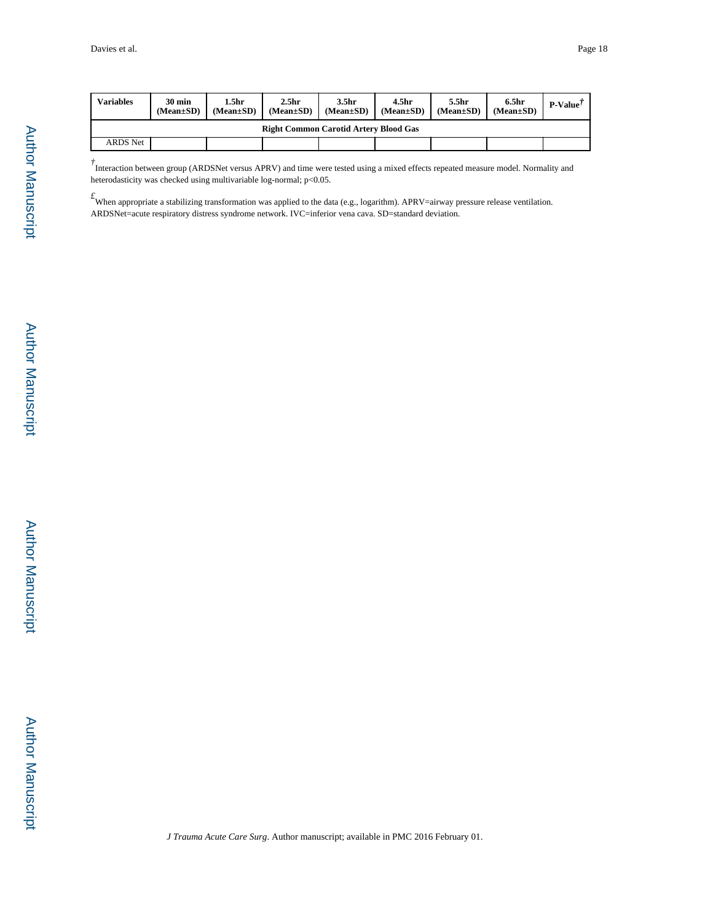| Variables                                    | $30 \text{ min}$<br>$(Mean \pm SD)$ | 1.5hr<br>$(Mean \pm SD)$ | 2.5 <sub>hr</sub><br>$(Mean \pm SD)$ | 3.5hr<br>$(Mean \pm SD)$ | 4.5 <sub>hr</sub><br>$(Mean \pm SD)$ | 5.5 <sub>hr</sub><br>$(Mean \pm SD)$ | 6.5hr<br>$(Mean \pm SD)$ | $P-Value$ |
|----------------------------------------------|-------------------------------------|--------------------------|--------------------------------------|--------------------------|--------------------------------------|--------------------------------------|--------------------------|-----------|
| <b>Right Common Carotid Artery Blood Gas</b> |                                     |                          |                                      |                          |                                      |                                      |                          |           |
| <b>ARDS</b> Net                              |                                     |                          |                                      |                          |                                      |                                      |                          |           |

<sup>†</sup> Interaction between group (ARDSNet versus APRV) and time were tested using a mixed effects repeated measure model. Normality and heterodasticity was checked using multivariable log-normal; p<0.05.

*£*When appropriate a stabilizing transformation was applied to the data (e.g., logarithm). APRV=airway pressure release ventilation. ARDSNet=acute respiratory distress syndrome network. IVC=inferior vena cava. SD=standard deviation.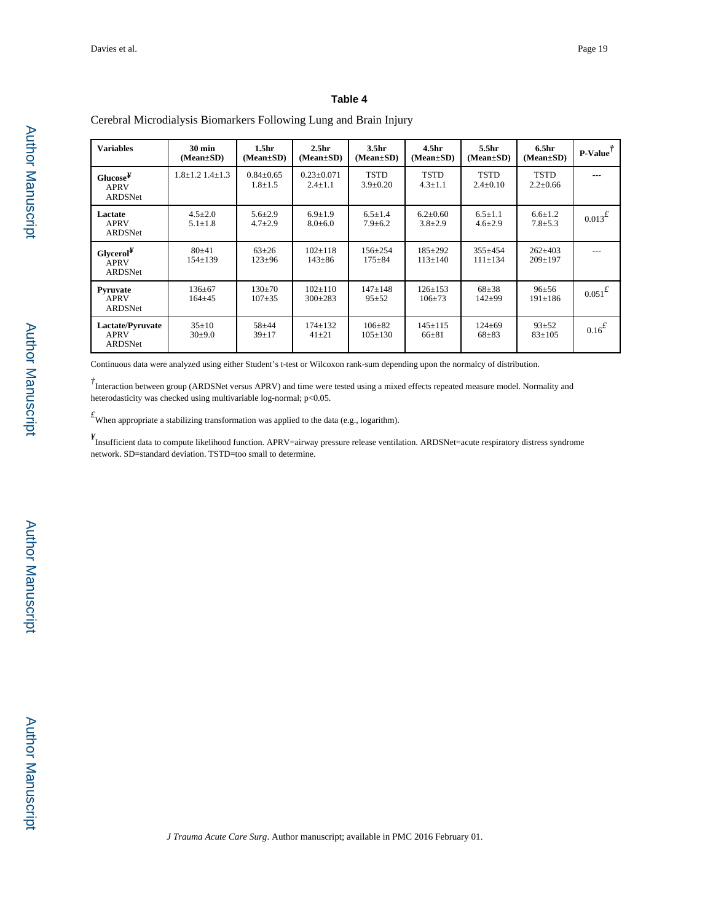**Variables 30 min (Mean±SD) 1.5hr (Mean±SD) 2.5hr (Mean±SD) 3.5hr (Mean±SD) 4.5hr (Mean±SD) 5.5hr (Mean±SD) 6.5hr (Mean±SD) P-Value***†* **Glucose***¥* APRV ARDSNet  $1.8 \pm 1.2$  1.4 $\pm 1.3$  0.84 $\pm 0.65$ 1.8±1.5 0.23±0.071 2.4±1.1 TSTD 3.9±0.20 **TSTD** 4.3±1.1 TSTD  $2.4{\pm}0.10$ TSTD 2.2±0.66 --- **Lactate** APRV ARDSNet  $4.5 \pm 2.0$ 5.1±1.8 5.6±2.9 4.7±2.9 6.9±1.9  $8.0 ± 6.0$  $6.5 \pm 1.4$ 7.9±6.2  $6.2 \pm 0.60$ 3.8±2.9  $6.5 \pm 1.1$ 4.6±2.9  $6.6 \pm 1.2$ <br>7.8 $\pm 5.3$  $0.013^{2}$ **Glycerol***¥* APRV ARDSNet 80±41 154±139 63±26 123±96 102±118 143±86 156±254 175±84 185±292 113±140 355±454 111±134 262±403 209±197 --- **Pyruvate** APRV ARDSNet 136±67 164±45 130±70 107±35 102±110 300±283 147±148 95±52 126±153 106±73 68±38 142±99  $96±56$ <br>191±186  $0.051$ <sup>£</sup> **Lactate/Pyruvate** APRV ARDSNet 35±10 30±9.0 58±44 39±17 174±132 41±21 106±82 105±130 145±115 66±81 124±69 68±83  $93±52$ <br> $83±105$  $0.16^{\textstyle\pounds}$ 

# Cerebral Microdialysis Biomarkers Following Lung and Brain Injury

Continuous data were analyzed using either Student's t-test or Wilcoxon rank-sum depending upon the normalcy of distribution.

<sup>†</sup> Interaction between group (ARDSNet versus APRV) and time were tested using a mixed effects repeated measure model. Normality and heterodasticity was checked using multivariable log-normal; p<0.05.

 $f_{\text{When appropriate a stabilizing transformation was applied to the data (e.g., logarithm).}$ 

*¥* Insufficient data to compute likelihood function. APRV=airway pressure release ventilation. ARDSNet=acute respiratory distress syndrome network. SD=standard deviation. TSTD=too small to determine.